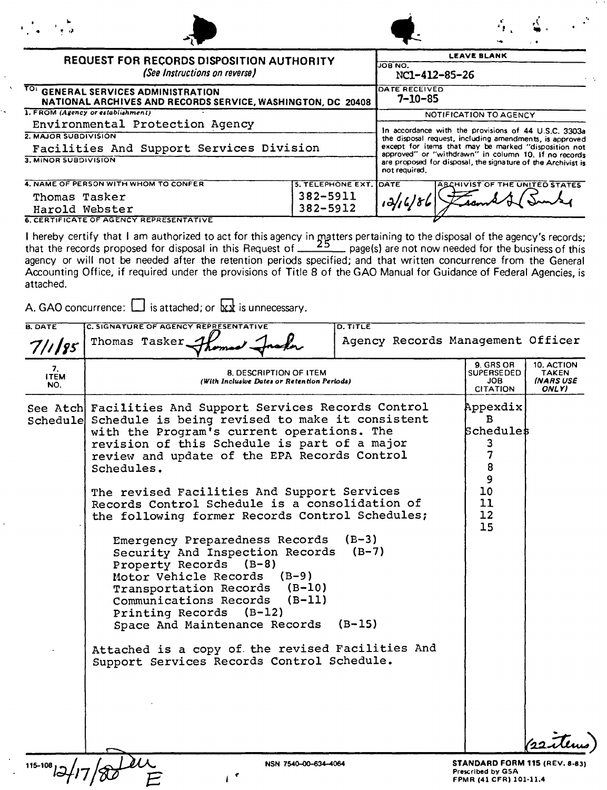| $\frac{1}{2}$ and $\frac{1}{2}$                                                                    |                                |                                |                                                                                                                                                                                                                                 |
|----------------------------------------------------------------------------------------------------|--------------------------------|--------------------------------|---------------------------------------------------------------------------------------------------------------------------------------------------------------------------------------------------------------------------------|
| REQUEST FOR RECORDS DISPOSITION AUTHORITY<br>(See Instructions on reverse)                         |                                | JOB NO.<br>NC1-412-85-26       | <b>LEAVE BLANK</b>                                                                                                                                                                                                              |
| TO: GENERAL SERVICES ADMINISTRATION<br>NATIONAL ARCHIVES AND RECORDS SERVICE, WASHINGTON, DC 20408 |                                | DATE RECEIVED<br>$7 - 10 - 85$ |                                                                                                                                                                                                                                 |
| 1. FROM (Agency or establishment)                                                                  |                                |                                | NOTIFICATION TO AGENCY                                                                                                                                                                                                          |
| Environmental Protection Agency                                                                    |                                |                                |                                                                                                                                                                                                                                 |
| 2. MAJOR SUBDIVISION<br>Facilities And Support Services Division                                   |                                |                                | In accordance with the provisions of 44 U.S.C. 3303a<br>the disposal request, including amendments, is approved<br>except for items that may be marked "disposition not<br>approved" or "withdrawn" in column 10. If no records |
| 3. MINOR SUBDIVISION                                                                               |                                | not required.                  | are proposed for disposal, the signature of the Archivist is                                                                                                                                                                    |
| 4. NAME OF PERSON WITH WHOM TO CONFER                                                              | <b>5. TELEPHONE EXT. IDATE</b> |                                | <b>ABCHIVIST OF THE UNITED STATES</b>                                                                                                                                                                                           |
| Thomas Tasker<br>Harold Webster                                                                    | 382-5911<br>382-5912           |                                |                                                                                                                                                                                                                                 |

6. CERTIFICATE OF AGENCY REPRESENTATIVE

I hereby certify that I am authorized to act for this agency in  $m$ atters pertaining to the disposal of the agency's records; that the records proposed for disposal in this Request of **call 2.3** page(s) are not now needed for the business of this agency or will not be needed after the retention periods specified; and that written concurrence from the General Accounting Office, if required under the provisions of Title 8 of the GAO Manual for Guidance of Federal Agencies, is attached.

A. GAO concurrence:  $\Box$  is attached; or  $\overline{\mathbf{x}}\overline{\mathbf{x}}$  is unnecessary.

| <b>B. DATE</b>           | C. SIGNATURE OF AGENCY REPRESENTATIVE<br>D. TITLE                                                                                                                                                                                                                                                                                                                                                                                                                                                                                                                                                                                                                                                                                                                                                                                         |                                                                                                                    |
|--------------------------|-------------------------------------------------------------------------------------------------------------------------------------------------------------------------------------------------------------------------------------------------------------------------------------------------------------------------------------------------------------------------------------------------------------------------------------------------------------------------------------------------------------------------------------------------------------------------------------------------------------------------------------------------------------------------------------------------------------------------------------------------------------------------------------------------------------------------------------------|--------------------------------------------------------------------------------------------------------------------|
| $711$ 85                 | Thomas Tasker                                                                                                                                                                                                                                                                                                                                                                                                                                                                                                                                                                                                                                                                                                                                                                                                                             | Agency Records Management Officer                                                                                  |
| 7.<br><b>ITEM</b><br>NO. | 8. DESCRIPTION OF ITEM<br>(With Inclusive Dates or Retention Periods)                                                                                                                                                                                                                                                                                                                                                                                                                                                                                                                                                                                                                                                                                                                                                                     | 9. GRS OR<br>10. ACTION<br><b>SUPERSEDED</b><br><b>TAKEN</b><br><b>INARSUSE</b><br>JOB<br><b>CITATION</b><br>ONLY) |
|                          | See Atch Facilities And Support Services Records Control<br>Schedule Schedule is being revised to make it consistent<br>with the Program's current operations. The<br>revision of this Schedule is part of a major<br>review and update of the EPA Records Control<br>Schedules.<br>The revised Facilities And Support Services<br>Records Control Schedule is a consolidation of<br>the following former Records Control Schedules;<br>Emergency Preparedness Records<br>$(B-3)$<br>Security And Inspection Records (B-7)<br>Property Records (B-8)<br>Motor Vehicle Records<br>$(B-9)$<br>Transportation Records (B-10)<br>Communications Records<br>$(B-11)$<br>Printing Records (B-12)<br>Space And Maintenance Records<br>$(B-15)$<br>Attached is a copy of the revised Facilities And<br>Support Services Records Control Schedule. | Appexdix<br>в<br><b>Schedules</b><br>3<br>7<br>8<br>9<br>10<br>11<br>12<br>15                                      |
| 115-108                  | NSN 7540-00-634-4064                                                                                                                                                                                                                                                                                                                                                                                                                                                                                                                                                                                                                                                                                                                                                                                                                      | STANDARD FORM 115 (REV. 8-83)<br>Prescribed by GSA<br>FPMR (41 CFR) 101-11.4                                       |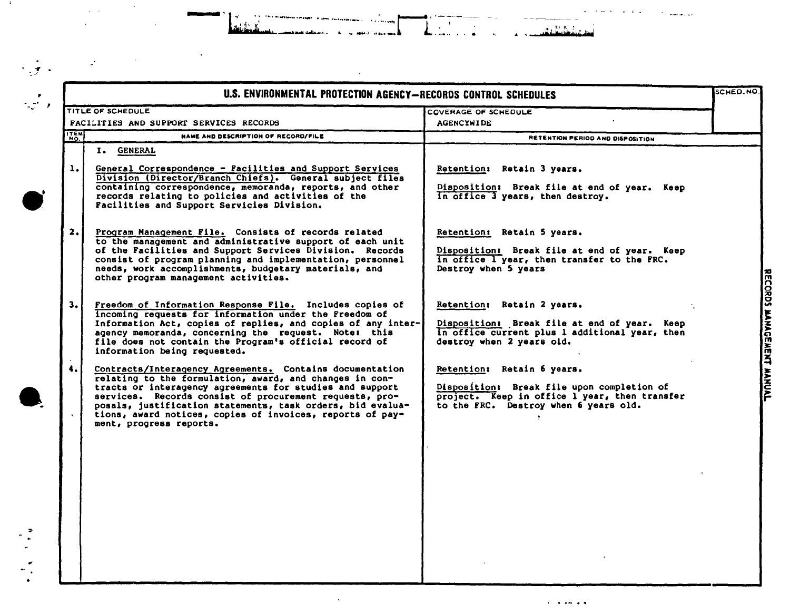|           | U.S. ENVIRONMENTAL PROTECTION AGENCY-RECORDS CONTROL SCHEDULES                                                                                                                                                                                                                                                                                                                                   |                                                                                                                                                                    |
|-----------|--------------------------------------------------------------------------------------------------------------------------------------------------------------------------------------------------------------------------------------------------------------------------------------------------------------------------------------------------------------------------------------------------|--------------------------------------------------------------------------------------------------------------------------------------------------------------------|
|           | TITLE OF SCHEDULE                                                                                                                                                                                                                                                                                                                                                                                | <b>COVERAGE OF SCHEDULE</b><br><b>AGENCYWIDE</b>                                                                                                                   |
| ITEM      | <b>FACILITIES AND SUPPORT SERVICES RECORDS</b><br>NAME AND DESCRIPTION OF RECORD/FILE                                                                                                                                                                                                                                                                                                            |                                                                                                                                                                    |
|           | I. GENERAL                                                                                                                                                                                                                                                                                                                                                                                       | RETENTION PERIOD AND DISPOSITION                                                                                                                                   |
| 1.        | General Correspondence - Facilities and Support Services<br>Division (Director/Branch Chiefs). General subject files<br>containing correspondence, memoranda, reports, and other<br>records relating to policies and activities of the<br>Facilities and Support Servicies Division.                                                                                                             | Retention: Retain 3 years.<br>Disposition: Break file at end of year. Keep<br>in office 3 years, then destroy.                                                     |
| 2.        | Program Management File. Consists of records related<br>to the management and administrative support of each unit<br>of the Facilities and Support Services Division. Records<br>consist of program planning and implementation, personnel<br>needs, work accomplishments, budgetary materials, and<br>other program management activities.                                                      | Retention: Retain 5 years.<br>Disposition: Break file at end of year. Keep<br>in office I year, then transfer to the FRC.<br>Destroy when 5 years                  |
| 3.1       | Freedom of Information Response File. Includes copies of<br>incoming requests for information under the Freedom of<br>Information Act, copies of replies, and copies of any inter-<br>agency memoranda, concerning the request. Note: this<br>file does not contain the Program's official record of<br>information being requested.                                                             | Retention: Retain 2 years.<br>Disposition: Break file at end of year. Keep<br>In office current plus 1 additional year, then<br>destroy when 2 years old.          |
| $\ddotsc$ | Contracts/Interagency Agreements. Contains documentation<br>relating to the formulation, award, and changes in con-<br>tracts or interagency agreements for studies and support<br>services. Records consist of procurement requests, pro-<br>posals, justification statements, task orders, bid evalua-<br>tions, award notices, copies of invoices, reports of pay-<br>ment, progress reports. | Retention: Retain 6 years.<br>Disposition: Break file upon completion of<br>project. Keep in office l year, then transfer<br>to the FRC. Destroy when 6 years old. |
|           |                                                                                                                                                                                                                                                                                                                                                                                                  |                                                                                                                                                                    |
|           |                                                                                                                                                                                                                                                                                                                                                                                                  |                                                                                                                                                                    |

1970 - Jacques Maria

 $\sim$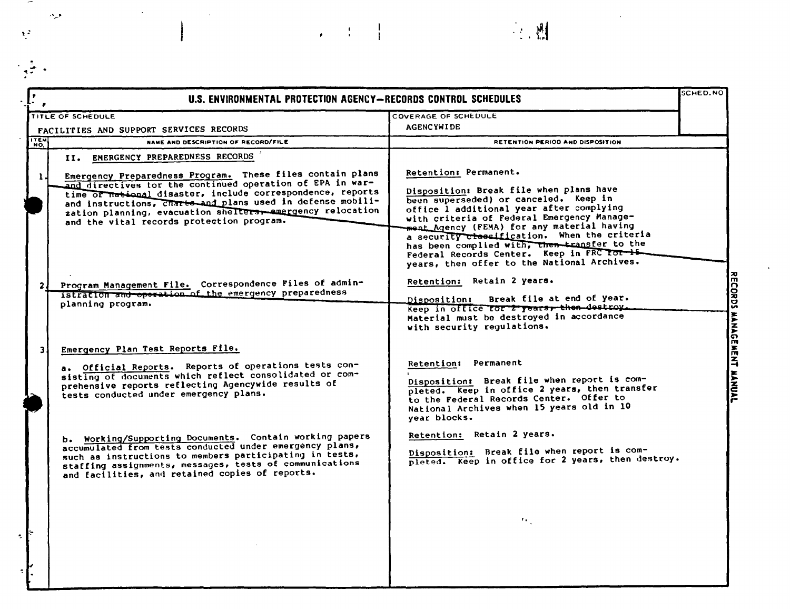|                     | U.S. ENVIRONMENTAL PROTECTION AGENCY-RECORDS CONTROL SCHEDULES                                                                                                                                                                                                                                                                                                                                      | <b>SCHED.NO</b>                                                                                                                                                                                                                                                                                                                                                                                                                                |
|---------------------|-----------------------------------------------------------------------------------------------------------------------------------------------------------------------------------------------------------------------------------------------------------------------------------------------------------------------------------------------------------------------------------------------------|------------------------------------------------------------------------------------------------------------------------------------------------------------------------------------------------------------------------------------------------------------------------------------------------------------------------------------------------------------------------------------------------------------------------------------------------|
|                     | TITLE OF SCHEDULE                                                                                                                                                                                                                                                                                                                                                                                   | COVERAGE OF SCHEDULE                                                                                                                                                                                                                                                                                                                                                                                                                           |
|                     | FACILITIES AND SUPPORT SERVICES RECORDS                                                                                                                                                                                                                                                                                                                                                             | <b>AGENCYWIDE</b>                                                                                                                                                                                                                                                                                                                                                                                                                              |
| <b>ITEM!</b><br>NO. | NAME AND DESCRIPTION OF RECORD/FILE                                                                                                                                                                                                                                                                                                                                                                 | RETENTION PERIOD AND DISPOSITION                                                                                                                                                                                                                                                                                                                                                                                                               |
| 1.                  | II. EMERGENCY PREPAREDNESS RECORDS<br>Emergency Preparedness Program. These files contain plans<br>and directives for the continued operation of EPA in war-<br>time of national disaster, include correspondence, reports<br>and instructions, charte and plans used in defense mobili-<br>zation planning, evacuation shelters, amergency relocation<br>and the vital records protection program. | Retention: Permanent.<br>Disposition: Break file when plans have<br>been superseded) or canceled. Keep in<br>office I additional year after complying<br>with criteria of Federal Emergency Manage-<br>ment Agency (FEMA) for any material having<br>a security classification. When the criteria<br>has been complied with, then transfer to the<br>Federal Records Center. Keep in FRC for 15<br>years, then offer to the National Archives. |
| 21                  | Program Management File. Correspondence Files of admin-<br>istration and operation of the emergency preparedness<br>planning program.                                                                                                                                                                                                                                                               | Retention: Retain 2 years.<br>Break file at end of year.<br><b>Disposition:</b><br>Keep in office for 2 years, then destroy.<br>Material must be destroyed in accordance<br>with security regulations.                                                                                                                                                                                                                                         |
|                     | Emergency Plan Test Reports File.<br>a. Official Reports. Reports of operations tests con-<br>sisting of documents which reflect consolidated or com-<br>prehensive reports reflecting Agencywide results of<br>tests conducted under emergency plans.                                                                                                                                              | Retention: Permanent<br>Disposition: Break file when report is com-<br>pleted. Keep in office 2 years, then transfer<br>to the Federal Records Center. Offer to<br>National Archives when 15 years old in 10<br>year blocks.                                                                                                                                                                                                                   |
|                     | b. Working/Supporting Documents. Contain working papers<br>accumulated from tests conducted under emergency plans,<br>such as instructions to members participating in tests,<br>staffing assignments, messages, tests of communications<br>and facilities, and retained copies of reports.                                                                                                         | Retention: Retain 2 years.<br>Disposition: Break file when report is com-<br>pleted. Keep in office for 2 years, then destroy.<br>٠.,                                                                                                                                                                                                                                                                                                          |
|                     |                                                                                                                                                                                                                                                                                                                                                                                                     |                                                                                                                                                                                                                                                                                                                                                                                                                                                |

 $\mathbb{R}^n \times \mathbb{R}^n \times \mathbb{R}^n$ 

أفرق

 $\mathbb{R}^2$ 

 $\overline{\mathcal{L}}$ 

 $\ddot{\phantom{a}}$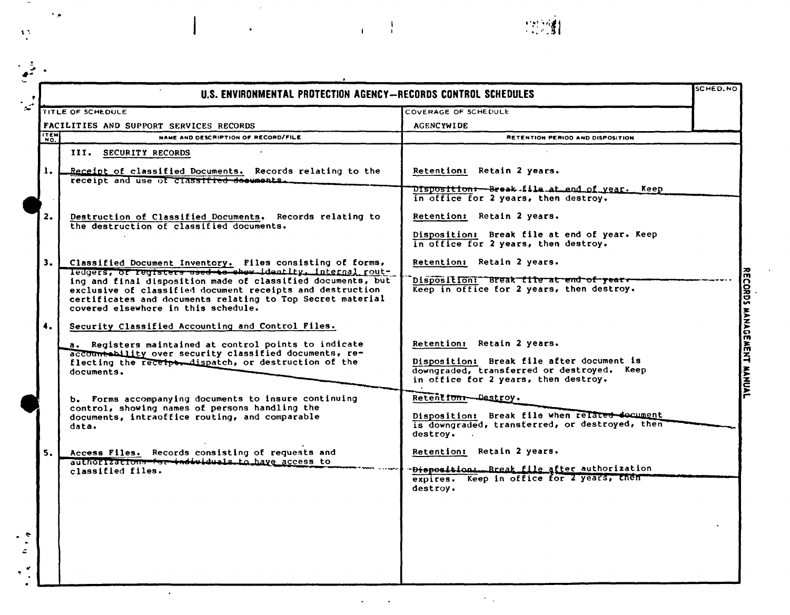|                | U.S. ENVIRONMENTAL PROTECTION AGENCY-RECORDS CONTROL SCHEDULES                                                                                                                                                                |                                                                                                                                 | <b>SCHED.NO</b> |
|----------------|-------------------------------------------------------------------------------------------------------------------------------------------------------------------------------------------------------------------------------|---------------------------------------------------------------------------------------------------------------------------------|-----------------|
|                | TITLE OF SCHEDULE                                                                                                                                                                                                             | COVERAGE OF SCHEDULE                                                                                                            |                 |
|                | FACILITIES AND SUPPORT SERVICES RECORDS                                                                                                                                                                                       | <b>AGENCYWIDE</b>                                                                                                               |                 |
| <b>ITEM</b>    | NAME AND DESCRIPTION OF RECORD/FILE                                                                                                                                                                                           | RETENTION PERIOD AND DISPOSITION                                                                                                |                 |
|                | III. SECURITY RECORDS                                                                                                                                                                                                         |                                                                                                                                 |                 |
| $\mathbf{1}$ . | Receipt of classified Documents. Records relating to the<br>receipt and use of classified decuments.                                                                                                                          | Retention: Retain 2 years.                                                                                                      |                 |
|                |                                                                                                                                                                                                                               | Disposition + Break file at end of year. Keep<br>in office for 2 years, then destroy.                                           |                 |
| 2.             | Destruction of Classified Documents. Records relating to<br>the destruction of classified documents.                                                                                                                          | Retention: Retain 2 years.                                                                                                      |                 |
|                |                                                                                                                                                                                                                               | Disposition: Break file at end of year. Keep<br>in office for 2 years, then destroy.                                            |                 |
| 3.1            | Classified Document Inventory, Files consisting of forms,<br>ledgers, or registers used to show identity, internal rout-                                                                                                      | Retention: Retain 2 years.                                                                                                      |                 |
|                | ing and final disposition made of classified documents, but<br>exclusive of classified document receipts and destruction<br>certificates and documents relating to Top Secret material<br>covered elsewhere in this schedule. | Disposition: Break tite at end of years<br>Keep in office for 2 years, then destroy.                                            |                 |
| 4.             | Security Classified Accounting and Control Files.                                                                                                                                                                             |                                                                                                                                 |                 |
|                | a. Registers maintained at control points to indicate<br>accountability over security classified documents, re-                                                                                                               | Retention: Retain 2 years.                                                                                                      |                 |
|                | flecting the receiper dispatch, or destruction of the<br>documents.                                                                                                                                                           | Disposition: Break file after document is<br>downgraded, transferred or destroyed. Keep<br>in office for 2 years, then destroy. |                 |
|                | b. Forms accompanying documents to insure continuing                                                                                                                                                                          | Retentform-Destroy.                                                                                                             |                 |
|                | control, showing names of persons handling the<br>documents, intraoffice routing, and comparable<br>data.                                                                                                                     | Disposition: Break file when related document<br>is downgraded, transferred, or destroyed, then<br>destroy.                     |                 |
| 5.             | Access Files. Records consisting of requests and                                                                                                                                                                              | Retention: Retain 2 years.                                                                                                      |                 |
|                | authorizations for individuals to have access to<br>classified files.                                                                                                                                                         | Disposition: Break file after authorization<br>expires. Keep in office for 2 years, then<br>destroy.                            |                 |
|                |                                                                                                                                                                                                                               |                                                                                                                                 |                 |
|                |                                                                                                                                                                                                                               |                                                                                                                                 |                 |

 $\ddot{\phantom{a}}$ 

 $\gamma_{\rm max}$ 

 $\alpha = \frac{1}{2}$  ,  $\frac{1}{2}$ 

 $\hat{\mathbf{r}}$ 

 $\langle \rangle$ 

 $\begin{array}{c} \rule{0pt}{2ex} \rule{0pt}{2ex} \rule{0pt}{2ex} \rule{0pt}{2ex} \rule{0pt}{2ex} \rule{0pt}{2ex} \rule{0pt}{2ex} \rule{0pt}{2ex} \rule{0pt}{2ex} \rule{0pt}{2ex} \rule{0pt}{2ex} \rule{0pt}{2ex} \rule{0pt}{2ex} \rule{0pt}{2ex} \rule{0pt}{2ex} \rule{0pt}{2ex} \rule{0pt}{2ex} \rule{0pt}{2ex} \rule{0pt}{2ex} \rule{0pt}{2ex} \rule{0pt}{2ex} \rule{0pt}{2ex} \rule{0pt}{2ex} \rule{0pt}{$ 

 $\sim$  7.

 $\frac{1}{2}$ 

 $\langle \cdot \rangle_{\mathfrak{g}}$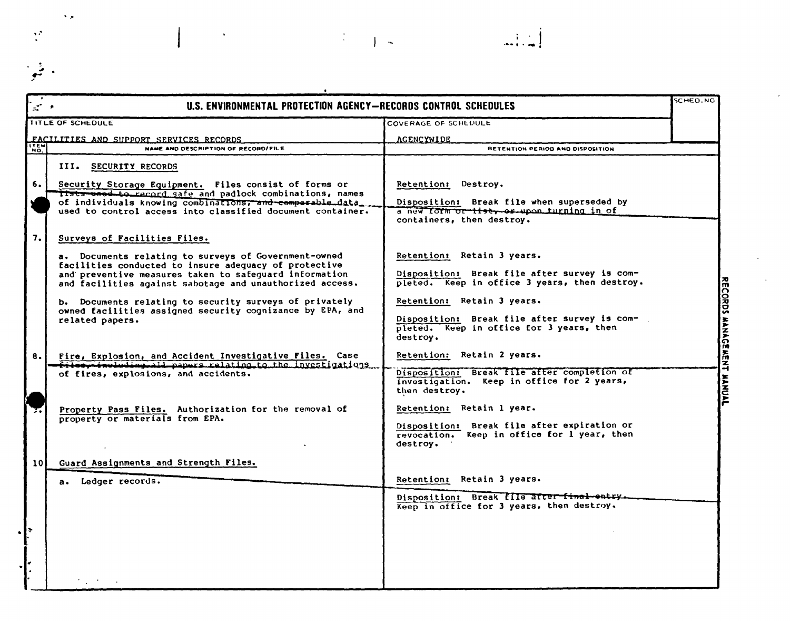|             | U.S. ENVIRONMENTAL PROTECTION AGENCY-RECORDS CONTROL SCHEDULES                                                                                                                                                                      |                                                                                                                                    | <b>SCHED.NO</b>           |
|-------------|-------------------------------------------------------------------------------------------------------------------------------------------------------------------------------------------------------------------------------------|------------------------------------------------------------------------------------------------------------------------------------|---------------------------|
|             | TITLE OF SCHEDULE                                                                                                                                                                                                                   | COVERAGE OF SCHEDULE                                                                                                               |                           |
|             | FACILITIES AND SUPPORT SERVICES RECORDS                                                                                                                                                                                             | AGENCYWIDE                                                                                                                         |                           |
| <b>ITEM</b> | NAME AND DESCRIPTION OF RECORD/FILE                                                                                                                                                                                                 | RETENTION PERIOD AND DISPOSITION                                                                                                   |                           |
|             | III. SECURITY RECORDS                                                                                                                                                                                                               |                                                                                                                                    |                           |
| 6.          | Security Storage Equipment. Files consist of forms or<br>Tists used to record safe and padlock combinations, names                                                                                                                  | Retention: Destroy.                                                                                                                |                           |
|             | of individuals knowing combinations; and comperable data<br>used to control access into classified document container.                                                                                                              | Disposition: Break file when superseded by<br>a new form or tisty or upon turning in of<br>containers, then destroy.               |                           |
| 7.          | Surveys of Facilities Files.                                                                                                                                                                                                        |                                                                                                                                    |                           |
|             | a. Documents relating to surveys of Government-owned<br>facilities conducted to insure adequacy of protective<br>and preventive measures taken to safeguard information<br>and facilities against sabotage and unauthorized access. | Retention: Retain 3 years.<br>Disposition: Break file after survey is com-<br>pleted. Keep in office 3 years, then destroy.        |                           |
|             | b. Documents relating to security surveys of privately<br>owned facilities assigned security cognizance by EPA, and<br>related papers.                                                                                              | Retention: Retain 3 years.<br>Disposition: Break file after survey is com-<br>pleted. Keep in office for 3 years, then<br>destroy. | RECORDS MANAGEMENT MANUAL |
| 8.          | Fire, Explosion, and Accident Investigative Files. Case<br>files, including all papers relating to the investigations.                                                                                                              | Retention: Retain 2 years.                                                                                                         |                           |
|             | of fires, explosions, and accidents.                                                                                                                                                                                                | Disposition: Break file after completion of<br>investigation. Keep in office for 2 years,<br>then destroy.                         |                           |
|             | Property Pass Files. Authorization for the removal of<br>property or materials from EPA.                                                                                                                                            | Retention: Retain 1 year.                                                                                                          |                           |
|             |                                                                                                                                                                                                                                     | Disposition: Break file after expiration or<br>revocation. Keep in office for 1 year, then<br>destroy.                             |                           |
| 101         | Guard Assignments and Strength Files.                                                                                                                                                                                               |                                                                                                                                    |                           |
|             | a. Ledger records.                                                                                                                                                                                                                  | Retention: Retain 3 years.                                                                                                         |                           |
|             |                                                                                                                                                                                                                                     | Disposition: Break file atter-final entry.<br>Keep in office for 3 years, then destroy.                                            |                           |
|             |                                                                                                                                                                                                                                     |                                                                                                                                    |                           |
|             |                                                                                                                                                                                                                                     |                                                                                                                                    |                           |
|             |                                                                                                                                                                                                                                     |                                                                                                                                    |                           |

 $\mathcal{R}^{\text{max}}_{\text{max}}$ 

 $\ddot{\phantom{0}}$ 

 $\begin{bmatrix} 1 & 1 \\ 1 & 1 \end{bmatrix}$ 

 $\epsilon$ 

 $\ddot{\phi}$ 

 $\ddot{\cdot}$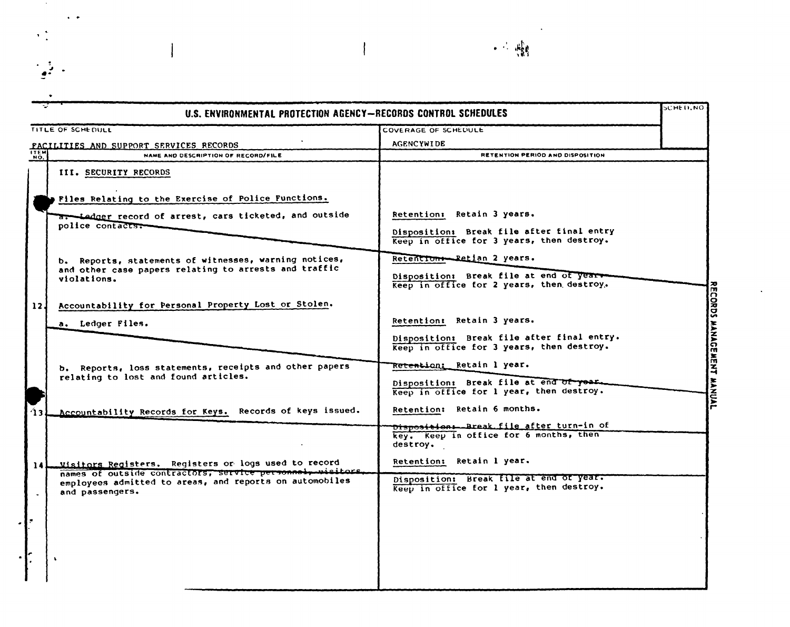|                 | U.S. ENVIRONMENTAL PROTECTION AGENCY-RECORDS CONTROL SCHEDULES                                                     |                                                                                                | <b>SCHEILNO</b> |
|-----------------|--------------------------------------------------------------------------------------------------------------------|------------------------------------------------------------------------------------------------|-----------------|
|                 | TITLE OF SCHEDULE                                                                                                  | COVERAGE OF SCHEDULE                                                                           |                 |
|                 | FACILITIES AND SUPPORT SERVICES RECORDS                                                                            | <b>AGENCYWIDE</b>                                                                              |                 |
| <b>NO.</b>      | NAME AND DESCRIPTION OF RECORD/FILE                                                                                | RETENTION PERIOD AND DISPOSITION                                                               |                 |
|                 | III. SECURITY RECORDS                                                                                              |                                                                                                |                 |
|                 | Files Relating to the Exercise of Police Functions.                                                                |                                                                                                |                 |
|                 | a. Ledger record of arrest, cars ticketed, and outside<br>police contacts.                                         | Retention: Retain 3 years.                                                                     |                 |
|                 |                                                                                                                    | Disposition: Break file after final entry<br>Keep in office for 3 years, then destroy.         |                 |
|                 | b. Reports, statements of witnesses, warning notices,<br>and other case papers relating to arrests and traffic     | Retentions-Retian 2 years.                                                                     |                 |
|                 | violations.                                                                                                        | Disposition: Break file at end of year-<br>Reep in office for 2 years, then destroy.           |                 |
| 12 <sub>1</sub> | Accountability for Personal Property Lost or Stolen.                                                               |                                                                                                |                 |
|                 | a. Ledger Files.                                                                                                   | Retention: Retain 3 years.                                                                     |                 |
|                 |                                                                                                                    | Disposition: Break file after final entry.<br>Keep in office for 3 years, then destroy.        |                 |
|                 | b. Reports, loss statements, receipts and other papers<br>relating to lost and found articles.                     | <del>Retenti</del> on: Retain 1 year.                                                          |                 |
|                 |                                                                                                                    | Disposition: Break file at end of year.<br>Keep in office for 1 year, then destroy.            |                 |
| $\mathbf{u}_1$  | Accountability Records for Keys. Records of keys issued.                                                           | Retention: Retain 6 months.                                                                    |                 |
|                 |                                                                                                                    | Dispositions-Break file after turn-in of<br>key. Keep in office for 6 months, then<br>destroy. |                 |
| 141             | Visitors Registers. Registers or logs used to record<br>names of outside contractors, service personnel, wisitors. | Retention: Retain 1 year.                                                                      |                 |
| $\bullet$       | employees admitted to areas, and reports on automobiles<br>and passengers.                                         | Disposition: Break file at end or year.<br>Keep in office for 1 year, then destroy.            |                 |
|                 |                                                                                                                    |                                                                                                |                 |
|                 |                                                                                                                    |                                                                                                |                 |
|                 |                                                                                                                    |                                                                                                |                 |
|                 |                                                                                                                    |                                                                                                |                 |

 $\sim$  40

 $\ddot{\phantom{a}}$ 

 $\frac{1}{2}$ 

 $\frac{1}{2}$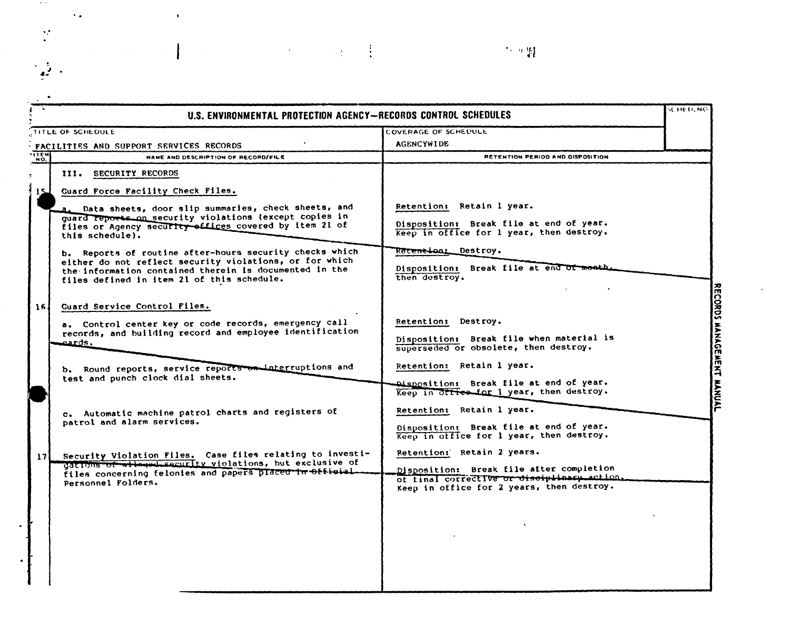|                    | U.S. ENVIRONMENTAL PROTECTION AGENCY-RECORDS CONTROL SCHEDULES                                                                                                  |                                                                                                                                      | schied, NO                |
|--------------------|-----------------------------------------------------------------------------------------------------------------------------------------------------------------|--------------------------------------------------------------------------------------------------------------------------------------|---------------------------|
|                    | TITLE OF SCHEDULE                                                                                                                                               | COVERAGE OF SCHEDULL                                                                                                                 |                           |
|                    | FACILITIES AND SUPPORT SERVICES RECORDS                                                                                                                         | <b>AGENCYWIDE</b>                                                                                                                    |                           |
| <b>TTEM</b><br>NO. | NAME AND DESCRIPTION OF RECORD/FILE                                                                                                                             | RETENTION PERIOD AND DISPOSITION                                                                                                     |                           |
| ÷,                 | III. SECURITY RECORDS                                                                                                                                           |                                                                                                                                      |                           |
| $15 -$             | Guard Force Facility Check Files.                                                                                                                               |                                                                                                                                      |                           |
|                    | a. Data sheets, door slip summaries, check sheets, and<br>guard reports on security violations (except copies in                                                | Retention: Retain 1 year.                                                                                                            |                           |
|                    | files or Agency security offices covered by item 21 of<br>this schedule).                                                                                       | Disposition: Break file at end of year.<br>Keep in office for 1 year, then destroy.                                                  |                           |
|                    | b. Reports of routine after-hours security checks which                                                                                                         | Re <del>tention:</del> Destroy.                                                                                                      |                           |
|                    | either do not reflect security violations, or for which<br>the information contained therein is documented in the<br>files defined in item 21 of this schedule. | Disposition: Break file at end of month.<br>then destroy.                                                                            |                           |
|                    |                                                                                                                                                                 |                                                                                                                                      |                           |
| 16 <sub>1</sub>    | Guard Service Control Files.                                                                                                                                    |                                                                                                                                      |                           |
|                    | a. Control center key or code records, emergency call<br>records, and building record and employee identification                                               | Retention: Destroy.                                                                                                                  |                           |
|                    | eards.                                                                                                                                                          | Disposition: Break file when material is<br>superseded or obsolete, then destroy.                                                    |                           |
|                    | b. Round reports, service reports on interruptions and                                                                                                          | Retention: Retain 1 year.                                                                                                            |                           |
|                    | test and punch clock dial sheets.                                                                                                                               | Disposition: Break file at end of year.<br>Keep in Office for 1 year, then destroy.                                                  | RECORDS MANAGEMENT MANUAL |
|                    | c. Automatic machine patrol charts and registers of                                                                                                             | Retention: Retain 1 year.                                                                                                            |                           |
|                    | patrol and alarm services.                                                                                                                                      | Disposition: Break file at end of year.<br>Keep in otfice for 1 year, then destroy.                                                  |                           |
| 17 <sup>1</sup>    | Security Violation Files. Case files relating to investi-<br>gations of alleged security violations, but exclusive of                                           | Retention: Retain 2 years.                                                                                                           |                           |
|                    | files concerning felonies and papers placed in Official<br>Personnel Folders.                                                                                   | Disposition: Break file after completion<br>of final corrective or disciplinary action.<br>Keep in office for 2 years, then destroy. |                           |
|                    |                                                                                                                                                                 |                                                                                                                                      |                           |
|                    |                                                                                                                                                                 |                                                                                                                                      |                           |
|                    |                                                                                                                                                                 |                                                                                                                                      |                           |
|                    |                                                                                                                                                                 |                                                                                                                                      |                           |
|                    |                                                                                                                                                                 |                                                                                                                                      |                           |

 $\pm$  1.1

 $\epsilon$ 

 $\sim$  9  $\mu$ 

 $\gamma$  .

 $\frac{1}{2}$ 

 $\frac{1}{2}$  .

 $\cdot$ 

 $\sim$   $\star$ 

 $\bar{\mathbf{r}}$ 

 $\mathbf{I}$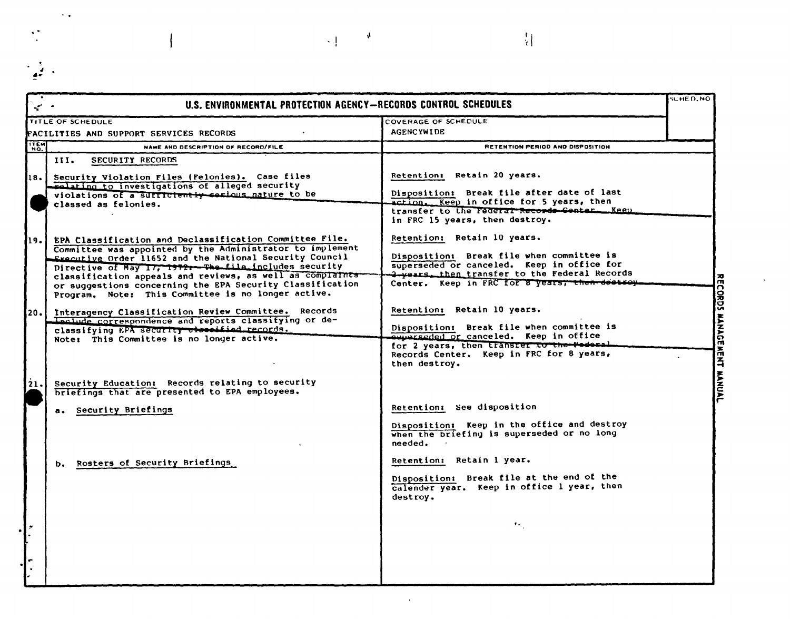| U.S. ENVIRONMENTAL PROTECTION AGENCY-RECORDS CONTROL SCHEDULES<br>م سمي                                          |                                                                                       | SCHED.NO |
|------------------------------------------------------------------------------------------------------------------|---------------------------------------------------------------------------------------|----------|
| TITLE OF SCHEDULE                                                                                                | COVERAGE OF SCHEDULE                                                                  |          |
| FACILITIES AND SUPPORT SERVICES RECORDS                                                                          | <b>AGENCYWIDE</b>                                                                     |          |
| <b>TEM</b><br>NAME AND DESCRIPTION OF RECORD/FILE                                                                | RETENTION PERIOD AND DISPOSITION                                                      |          |
| III.<br><b>SECURITY RECORDS</b>                                                                                  |                                                                                       |          |
| 18. Security Violation Files (Felonies). Case files                                                              | Retention: Retain 20 years.                                                           |          |
| realating to investigations of alleged security                                                                  | Disposition: Break file after date of last                                            |          |
| violations of a surriciently sectous nature to be<br>classed as felonies.                                        | action. Keep in office for 5 years, then                                              |          |
|                                                                                                                  | transfer to the Federal Records Conter Keep                                           |          |
|                                                                                                                  | in FRC 15 years, then destroy.                                                        |          |
| EPA Classification and Declassification Committee File.<br>19.                                                   | Retention: Retain 10 years.                                                           |          |
| Committee was appointed by the Administrator to implement                                                        | Disposition: Break file when committee is                                             |          |
| Executive Order 11652 and the National Security Council<br>Directive of May 17, 1972. The file includes security | superseded or canceled. Keep in office for                                            |          |
| classification appeals and reviews, as well as complaints                                                        | 3-vears, then transfer to the Federal Records                                         |          |
| or suggestions concerning the EPA Security Classification<br>Program. Note: This Committee is no longer active.  | Center. Keep in FRC for 8 years; then dectsoy.                                        |          |
|                                                                                                                  |                                                                                       |          |
| Interagency Classification Review Committee. Records<br>20.1                                                     | Retention: Retain 10 years.                                                           |          |
| Leclude correspondence and reports classifying or de-<br>classifying EPA security theosified records.            | Disposition: Break file when committee is                                             |          |
| Note: This Committee is no longer active.                                                                        | equerseded or canceled. Keep in office                                                |          |
|                                                                                                                  | for 2 years, then transfer to the Poderal<br>Records Center. Keep in FRC for 8 years, |          |
|                                                                                                                  | then destroy.                                                                         |          |
|                                                                                                                  |                                                                                       |          |
| Security Education: Records relating to security<br>21.<br>briefings that are presented to EPA employees.        |                                                                                       |          |
|                                                                                                                  | Retention: See disposition                                                            |          |
| a. Security Briefings                                                                                            |                                                                                       |          |
|                                                                                                                  | Disposition: Keep in the office and destroy                                           |          |
|                                                                                                                  | when the briefing is superseded or no long<br>needed.                                 |          |
|                                                                                                                  |                                                                                       |          |
| b. Rosters of Security Briefings                                                                                 | Retention: Retain 1 year.                                                             |          |
|                                                                                                                  | Disposition: Break file at the end of the                                             |          |
|                                                                                                                  | calender year. Keep in office I year, then<br>destroy.                                |          |
|                                                                                                                  |                                                                                       |          |
|                                                                                                                  |                                                                                       |          |
|                                                                                                                  | $\mathbf{G}_{\mathbf{G}}$                                                             |          |
|                                                                                                                  |                                                                                       |          |
|                                                                                                                  |                                                                                       |          |
|                                                                                                                  |                                                                                       |          |
|                                                                                                                  |                                                                                       |          |

 $\Box$ 

 $\mathcal{A}$ 

 $\sim 10^5$ 

 $\left\vert \frac{1}{2}\right\vert$ 

 $\sim$   $\epsilon$ 

 $\ddot{\cdot}$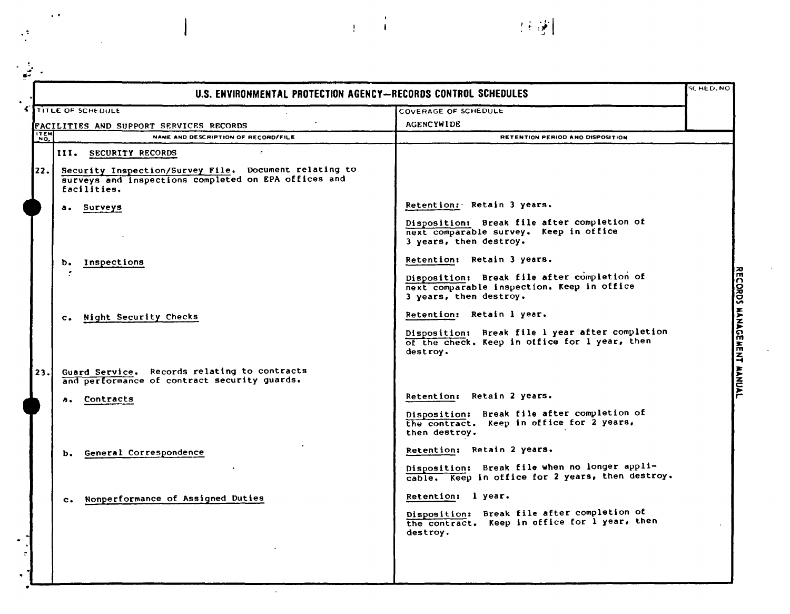| U.S. ENVIRONMENTAL PROTECTION AGENCY-RECORDS CONTROL SCHEDULES                                                                       |                                                                                                                     | SC HED. NO |
|--------------------------------------------------------------------------------------------------------------------------------------|---------------------------------------------------------------------------------------------------------------------|------------|
| TITLE OF SCHEDULE                                                                                                                    | COVERAGE OF SCHEDULE                                                                                                |            |
| <b>FACILITIES AND SUPPORT SERVICES RECORDS</b>                                                                                       | <b>AGENCYWIDE</b>                                                                                                   |            |
| ITEM<br>NAME AND DESCRIPTION OF RECORD/FILE                                                                                          | RETENTION PERIOD AND DISPOSITION                                                                                    |            |
| $\sim$<br>III. SECURITY RECORDS                                                                                                      |                                                                                                                     |            |
| Security Inspection/Survey File. Document relating to<br> 22.<br>surveys and inspections completed on EPA offices and<br>facilities. |                                                                                                                     |            |
| a. Surveys                                                                                                                           | Retention: Retain 3 years.                                                                                          |            |
|                                                                                                                                      | Disposition: Break file after completion of<br>next comparable survey. Keep in office<br>3 years, then destroy.     |            |
| b. Inspections                                                                                                                       | Retention: Retain 3 years.                                                                                          |            |
|                                                                                                                                      | Disposition: Break file after completion of<br>next comparable inspection. Keep in office<br>3 years, then destroy. |            |
| c. Night Security Checks                                                                                                             | Retention: Retain 1 year.                                                                                           |            |
|                                                                                                                                      | Disposition: Break file 1 year after completion<br>of the check. Keep in office for 1 year, then<br>destroy.        |            |
| Guard Service. Records relating to contracts<br>23.<br>and performance of contract security guards.                                  |                                                                                                                     |            |
| a. Contracts                                                                                                                         | Retention: Retain 2 years.                                                                                          |            |
|                                                                                                                                      | Disposition: Break file after completion of<br>the contract. Keep in office for 2 years,<br>then destroy.           |            |
| b. General Correspondence                                                                                                            | Retention: Retain 2 years.                                                                                          |            |
|                                                                                                                                      | Disposition: Break file when no longer appli-<br>cable. Keep in office for 2 years, then destroy.                   |            |
| c. Nonperformance of Assigned Duties                                                                                                 | Retention: l year.                                                                                                  |            |
|                                                                                                                                      | Break file after completion of<br><b>Disposition:</b><br>the contract. Keep in office for 1 year, then<br>destroy.  |            |
|                                                                                                                                      |                                                                                                                     |            |
|                                                                                                                                      |                                                                                                                     |            |
|                                                                                                                                      |                                                                                                                     |            |

 $\bar{r}$ 

 $\pm$  1  $\pm$ 

(注意)

 $\langle \cdot \rangle$ 

 $\frac{1}{2}$ 

 $\mathbb{R}^2$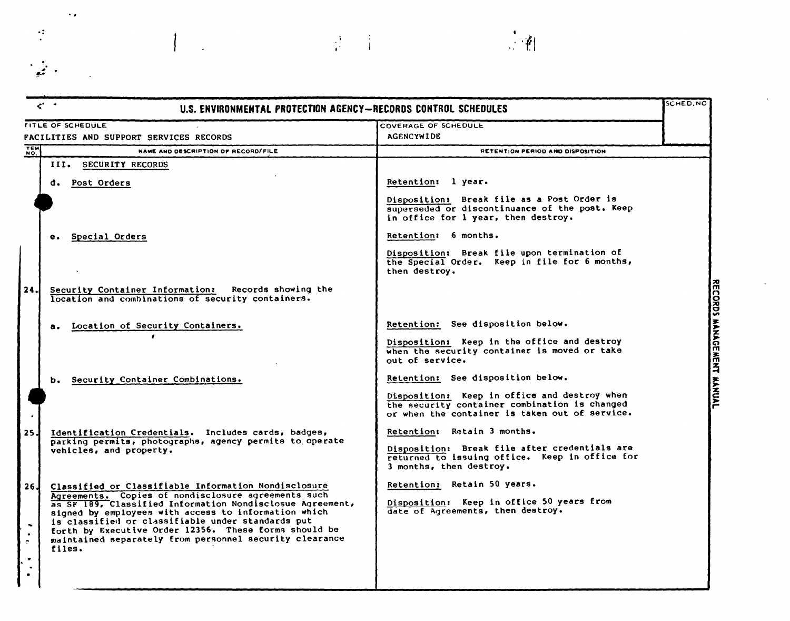|                                   | $\epsilon$ .<br>U.S. ENVIRONMENTAL PROTECTION AGENCY-RECORDS CONTROL SCHEDULES                                                                                                                                                                                                                                                                              |                                                                                                                                                 | SCHED, NO |
|-----------------------------------|-------------------------------------------------------------------------------------------------------------------------------------------------------------------------------------------------------------------------------------------------------------------------------------------------------------------------------------------------------------|-------------------------------------------------------------------------------------------------------------------------------------------------|-----------|
|                                   | <b>FITLE OF SCHEDULE</b>                                                                                                                                                                                                                                                                                                                                    | COVERAGE OF SCHEDULE                                                                                                                            |           |
|                                   | FACILITIES AND SUPPORT SERVICES RECORDS                                                                                                                                                                                                                                                                                                                     | <b>AGENCYWIDE</b>                                                                                                                               |           |
| TEM <sub>N</sub>                  | NAME AND DESCRIPTION OF RECORD/FILE                                                                                                                                                                                                                                                                                                                         | RETENTION PERIOD AND DISPOSITION                                                                                                                |           |
|                                   | <b>SECURITY RECORDS</b><br>III.                                                                                                                                                                                                                                                                                                                             |                                                                                                                                                 |           |
|                                   | d. Post Orders                                                                                                                                                                                                                                                                                                                                              | Retention: l year.                                                                                                                              |           |
|                                   |                                                                                                                                                                                                                                                                                                                                                             | Disposition: Break file as a Post Order is<br>superseded or discontinuance of the post. Keep<br>in office for 1 year, then destroy.             |           |
|                                   | Special Orders<br>е.                                                                                                                                                                                                                                                                                                                                        | Retention: 6 months.                                                                                                                            |           |
|                                   |                                                                                                                                                                                                                                                                                                                                                             | Disposition: Break file upon termination of<br>the Special Order. Keep in file for 6 months,<br>then destroy.                                   |           |
| 24.I                              | Security Container Information: Records showing the<br>location and combinations of security containers.                                                                                                                                                                                                                                                    |                                                                                                                                                 |           |
|                                   | Location of Security Containers.<br>а.                                                                                                                                                                                                                                                                                                                      | Retention: See disposition below.                                                                                                               |           |
|                                   |                                                                                                                                                                                                                                                                                                                                                             | Disposition: Keep in the office and destroy<br>when the security container is moved or take<br>out of service.                                  |           |
|                                   | Security Container Combinations.<br>ь.                                                                                                                                                                                                                                                                                                                      | Retention: See disposition below.                                                                                                               |           |
|                                   |                                                                                                                                                                                                                                                                                                                                                             | Disposition: Keep in office and destroy when<br>the security container combination is changed<br>or when the container is taken out of service. |           |
| 25.I                              | Identification Credentials. Includes cards, badges,                                                                                                                                                                                                                                                                                                         | Retention: Retain 3 months.                                                                                                                     |           |
|                                   | parking permits, photographs, agency permits to operate<br>vehicles, and property.                                                                                                                                                                                                                                                                          | Disposition: Break file after credentials are<br>returned to issuing office. Keep in office for<br>3 months, then destroy.                      |           |
| 26 J                              | Classified or Classifiable Information Nondisclosure                                                                                                                                                                                                                                                                                                        | Retention: Retain 50 years.                                                                                                                     |           |
| $\sim$<br>$\overline{\mathbf{r}}$ | Agreements. Copies of nondisclosure agreements such<br>as SF 189, Classified Information Nondisclosue Agreement,<br>signed by employees with access to information which<br>is classified or classifiable under standards put<br>forth by Executive Order 12356. These forms should be<br>maintained separately from personnel security clearance<br>files. | Disposition: Keep in office 50 years from<br>date of Agreements, then destroy.                                                                  |           |
| $\bullet$<br>$\bullet$            |                                                                                                                                                                                                                                                                                                                                                             |                                                                                                                                                 |           |

 $\frac{1}{4}$  ,  $\frac{1}{4}$ 

 $\left\| \cdot \right\|$ 

RECORDS MANAGEMENT MANUAL

 $\ddot{\phi}$ 

 $\overline{\phantom{a}}$ 

 $\mathcal{L}_{\text{max}}$ 

 $\ddot{\cdot}$ 

 $\frac{1}{2}$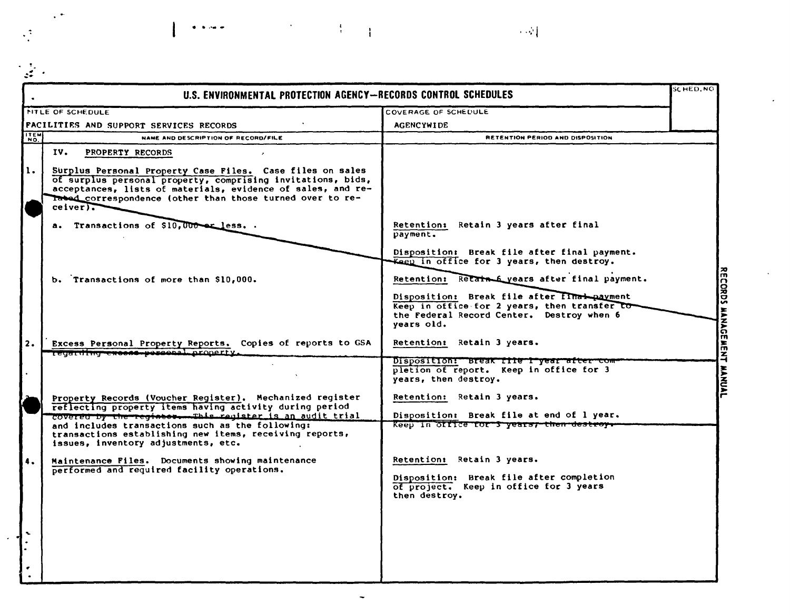|            | U.S. ENVIRONMENTAL PROTECTION AGENCY-RECORDS CONTROL SCHEDULES                                                                                                                                                                                                      |                                                                                                                                                         | <b>SCHED.NO</b> |
|------------|---------------------------------------------------------------------------------------------------------------------------------------------------------------------------------------------------------------------------------------------------------------------|---------------------------------------------------------------------------------------------------------------------------------------------------------|-----------------|
|            | <b>NITLE OF SCHEDULE</b>                                                                                                                                                                                                                                            | COVERAGE OF SCHEDULE                                                                                                                                    |                 |
|            | FACILITIES AND SUPPORT SERVICES RECORDS                                                                                                                                                                                                                             | <b>AGENCYWIDE</b>                                                                                                                                       |                 |
| <b>HEM</b> | NAME AND DESCRIPTION OF RECORD/FILE                                                                                                                                                                                                                                 | RETENTION PERIOD AND DISPOSITION                                                                                                                        |                 |
|            | IV.<br>PROPERTY RECORDS                                                                                                                                                                                                                                             |                                                                                                                                                         |                 |
| 1.         | Surplus Personal Property Case Files. Case files on sales<br>of surplus personal property, comprising invitations, bids,<br>acceptances, lists of materials, evidence of sales, and re-<br>Tabed correspondence (other than those turned over to re-<br>$ceiver$ ). |                                                                                                                                                         |                 |
|            | a. Transactions of \$10,000 er less                                                                                                                                                                                                                                 | Retention: Retain 3 years after final<br>payment.                                                                                                       |                 |
|            | b. Transactions of more than \$10,000.                                                                                                                                                                                                                              | Disposition: Break file after final payment.<br>Kaep in office for 3 years, then destroy.<br>Retention: Retain 6 years after final payment.             |                 |
|            |                                                                                                                                                                                                                                                                     | Disposition: Break file after final payment<br>Keep in office for 2 years, then transfer to-<br>the Federal Record Center. Destroy when 6<br>vears old. |                 |
| 2.         | Excess Personal Property Reports. Copies of reports to GSA<br>regarding excess-personal property.                                                                                                                                                                   | Retention: Retain 3 years.                                                                                                                              |                 |
|            |                                                                                                                                                                                                                                                                     | Disposition: Break file I year after com-<br>pletion of report. Keep in office for 3<br>years, then destroy.                                            |                 |
|            | Property Records (Voucher Register). Mechanized register<br>reflecting property items having activity during period                                                                                                                                                 | Retention: Retain 3 years.                                                                                                                              |                 |
|            | covered by the register. This register is an audit trial<br>and includes transactions such as the following:<br>transactions establishing new items, receiving reports,<br>issues, inventory adjustments, etc.                                                      | Disposition: Break file at end of 1 year.<br>Keep in office for 3 years; then destroy.                                                                  |                 |
| 4.         | Maintenance Files. Documents showing maintenance<br>performed and required facility operations.                                                                                                                                                                     | Retention: Retain 3 years.<br>Disposition: Break file after completion<br>of project. Keep in office for 3 years                                        |                 |
|            |                                                                                                                                                                                                                                                                     | then destroy.                                                                                                                                           |                 |

 $\ddot{\phantom{0}}$ 

 $\label{eq:2.1} \frac{1}{2} \sum_{i=1}^n \frac{1}{2} \sum_{j=1}^n \frac{1}{2} \sum_{j=1}^n \frac{1}{2} \sum_{j=1}^n \frac{1}{2} \sum_{j=1}^n \frac{1}{2} \sum_{j=1}^n \frac{1}{2} \sum_{j=1}^n \frac{1}{2} \sum_{j=1}^n \frac{1}{2} \sum_{j=1}^n \frac{1}{2} \sum_{j=1}^n \frac{1}{2} \sum_{j=1}^n \frac{1}{2} \sum_{j=1}^n \frac{1}{2} \sum_{j=1}^n \frac{$ 

 $\mathcal{O}(\mathbb{R}^3)$ 

 $\bullet$  ,  $\bullet$  ,  $\bullet$  ,  $\bullet$ 

 $\ddot{\phantom{1}}$ 

 $\langle \cdot \rangle$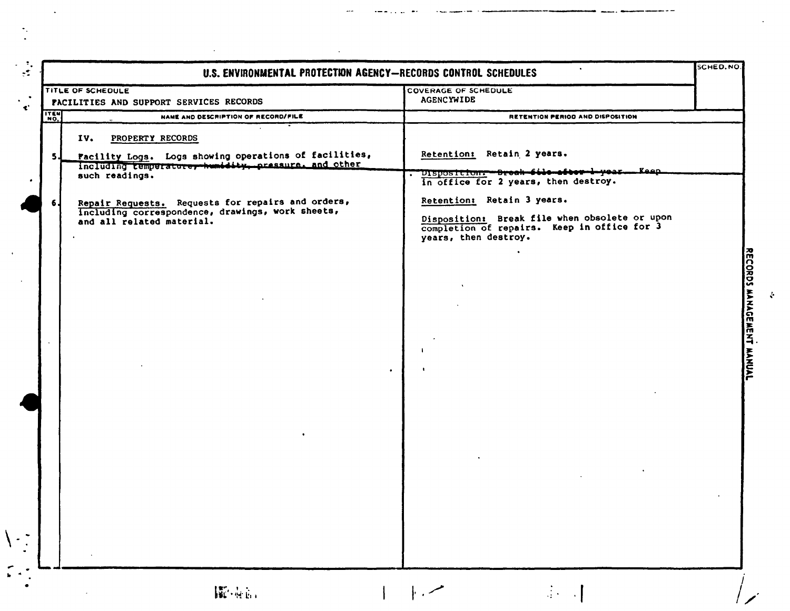| TITLE OF SCHEDULE      | FACILITIES AND SUPPORT SERVICES RECORDS                                                                                                                                                                                                                                                   | <b>COVERAGE OF SCHEDULE</b><br><b>AGENCYWIDE</b>                                                                                                                                                                                                                           |  |
|------------------------|-------------------------------------------------------------------------------------------------------------------------------------------------------------------------------------------------------------------------------------------------------------------------------------------|----------------------------------------------------------------------------------------------------------------------------------------------------------------------------------------------------------------------------------------------------------------------------|--|
| <b>ITEM</b>            | NAME AND DESCRIPTION OF RECORD/FILE                                                                                                                                                                                                                                                       | RETENTION PERIOD AND DISPOSITION                                                                                                                                                                                                                                           |  |
| IV.<br>5J<br><b>6.</b> | PROPERTY RECORDS<br>Facility Logs. Logs showing operations of facilities,<br>including temperature, humidity, pressure, and other<br>such readings.<br>Repair Requests. Requests for repairs and orders,<br>Including correspondence, drawings, work sheets,<br>and all related material. | Retention: Retain 2 years.<br>Disposition. - Break file after 1-year. - Keep<br>in office for 2 years, then destroy.<br>Retention: Retain 3 years.<br>Disposition: Break file when obsolete or upon<br>completion of repairs. Keep in office for 3<br>years, then destroy. |  |
|                        |                                                                                                                                                                                                                                                                                           | -1                                                                                                                                                                                                                                                                         |  |
|                        |                                                                                                                                                                                                                                                                                           |                                                                                                                                                                                                                                                                            |  |
|                        |                                                                                                                                                                                                                                                                                           |                                                                                                                                                                                                                                                                            |  |

 $\mathcal{L}^{\pm}$ 

 $\sim$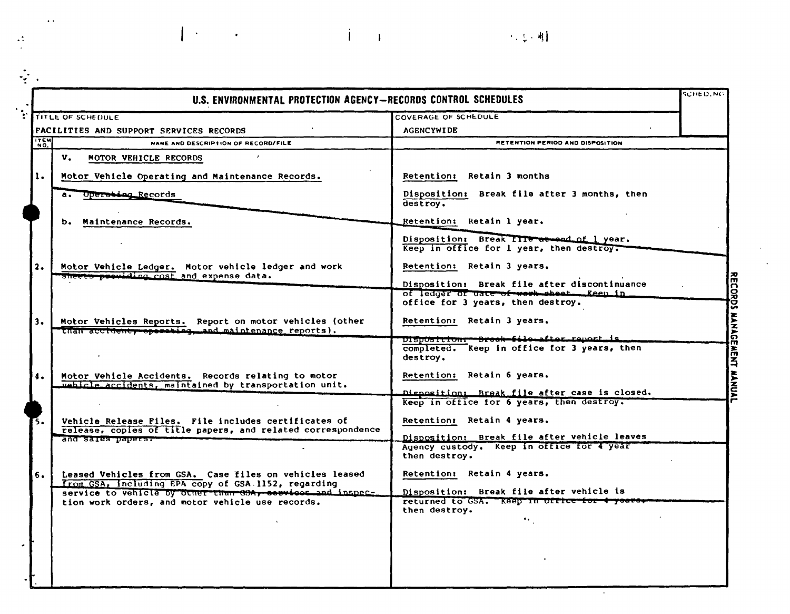|                      | U.S. ENVIRONMENTAL PROTECTION AGENCY-RECORDS CONTROL SCHEDULES                                                      |                                                                                                                               | SCHED.NO |
|----------------------|---------------------------------------------------------------------------------------------------------------------|-------------------------------------------------------------------------------------------------------------------------------|----------|
|                      | <b>: ITITLE OF SCHEDULE</b>                                                                                         | COVERAGE OF SCHEDULE                                                                                                          |          |
|                      | FACILITIES AND SUPPORT SERVICES RECORDS                                                                             | <b>AGENCYWIDE</b>                                                                                                             |          |
| $\sqrt{\frac{1}{N}}$ | NAME AND DESCRIPTION OF RECORD/FILE                                                                                 | RETENTION PERIOD AND DISPOSITION                                                                                              |          |
|                      | v.<br>MOTOR VEHICLE RECORDS                                                                                         |                                                                                                                               |          |
| 1.                   | Motor Vehicle Operating and Maintenance Records.                                                                    | Retention: Retain 3 months                                                                                                    |          |
|                      | a. Operating Records                                                                                                | Disposition: Break file after 3 months, then<br>destroy.                                                                      |          |
|                      | b. Maintenance Records.                                                                                             | Retention: Retain 1 year.                                                                                                     |          |
|                      |                                                                                                                     | Disposition: Break file at end of 1 year.<br>Keep in office for 1 year, then destroy.                                         |          |
| 2.                   | Motor Vehicle Ledger. Motor vehicle ledger and work<br>sheets previding cost and expense data.                      | Retention: Retain 3 years.                                                                                                    |          |
|                      |                                                                                                                     | Disposition: Break file after discontinuance<br>of ledger of uate of work sheet. Keen in<br>office for 3 years, then destroy. |          |
| 3.                   | Motor Vehicles Reports. Report on motor vehicles (other<br>than accidenty operating, and maintenance reports).      | Retention: Retain 3 years.                                                                                                    |          |
|                      |                                                                                                                     | DISposition:--Breek-file-after-report is<br>completed. Keep in office for 3 years, then<br>destroy.                           |          |
|                      | Motor Vehicle Accidents. Records relating to motor<br>webicle accidents, maintained by transportation unit.         | Retention: Retain 6 years.                                                                                                    |          |
|                      |                                                                                                                     | Disposition: Break file after case is closed.<br>Keep in office for 6 years, then destroy.                                    |          |
| Г5.                  | Vehicle Release Files. File includes certificates of<br>release, copies of title papers, and related correspondence | Retention: Retain 4 years.                                                                                                    |          |
|                      | and sales papers.                                                                                                   | Disposition: Break file after vehicle leaves<br>Agency custody. Keep in office for 4 year<br>then destroy.                    |          |
| 6.                   | Leased Vehicles from GSA. Case files on vehicles leased<br>from GSA, including EPA copy of GSA 1152, regarding      | Retention: Retain 4 years.                                                                                                    |          |
|                      | service to vehicle by other than 60A, services and inspec-<br>tion work orders, and motor vehicle use records.      | Disposition: Break file after vehicle is<br>returned to GSA. Keep in office for 4 years.<br>then destroy.                     |          |
|                      |                                                                                                                     | ٠.                                                                                                                            |          |
|                      |                                                                                                                     |                                                                                                                               |          |
|                      |                                                                                                                     |                                                                                                                               |          |

 $\hat{A}$  and  $\hat{A}$  and  $\hat{A}$ 

(一) 化型相

 $\alpha$ 

 $\ddot{\phantom{1}}$ 

 $\frac{1}{2}$ 

 $|\cdot|$ 

 $\sim 10^{11}$  km  $^{-1}$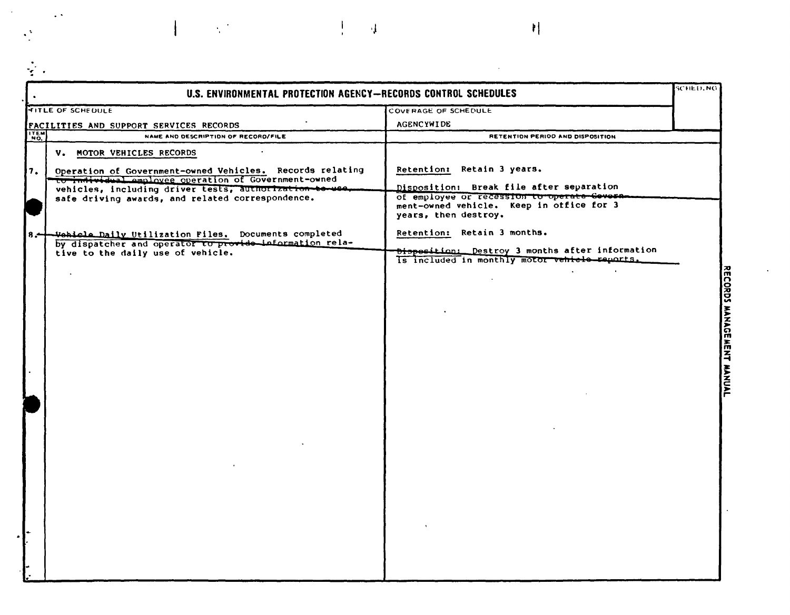|       | U.S. ENVIRONMENTAL PROTECTION AGENCY-RECORDS CONTROL SCHEDULES                                                   |                                                                                                                 | <b>SCHED, NO</b>          |
|-------|------------------------------------------------------------------------------------------------------------------|-----------------------------------------------------------------------------------------------------------------|---------------------------|
|       | <b>FITLE OF SCHEDULE</b>                                                                                         | COVERAGE OF SCHEDULE                                                                                            |                           |
|       | FACILITIES AND SUPPORT SERVICES RECORDS                                                                          | <b>AGENCYWIDE</b>                                                                                               |                           |
| ITEM  | NAME AND DESCRIPTION OF RECORD/FILE                                                                              | RETENTION PERIOD AND DISPOSITION                                                                                |                           |
|       | V. MOTOR VEHICLES RECORDS<br>$\bullet$ .                                                                         |                                                                                                                 |                           |
| 7.    |                                                                                                                  | Retention: Retain 3 years.                                                                                      |                           |
|       | Operation of Government-owned Vehicles. Records relating<br>To individual employee operation of Government-owned | Disposition: Break file after separation                                                                        |                           |
|       | vehicles, including driver tests, authorization to use.<br>safe driving awards, and related correspondence.      | of employee or recession to operate Govern-<br>ment-owned vehicle. Keep in office for 3<br>years, then destroy. |                           |
| $3 -$ | Wohicle Daily Utilization Files. Documents completed<br>by dispatcher and operator to provide information rela-  | Retention: Retain 3 months.                                                                                     |                           |
|       | tive to the daily use of vehicle.                                                                                | Disposition: Destroy 3 months after information<br>Is included in monthly motor vehicle reports.                |                           |
|       |                                                                                                                  | $\sim$                                                                                                          | RECORDS MANAGEMENT MANUAL |
|       |                                                                                                                  |                                                                                                                 |                           |
|       |                                                                                                                  |                                                                                                                 |                           |
|       |                                                                                                                  |                                                                                                                 |                           |
|       |                                                                                                                  |                                                                                                                 |                           |
|       |                                                                                                                  |                                                                                                                 |                           |
|       |                                                                                                                  |                                                                                                                 |                           |
|       |                                                                                                                  |                                                                                                                 |                           |
|       |                                                                                                                  |                                                                                                                 |                           |
|       |                                                                                                                  |                                                                                                                 |                           |
|       |                                                                                                                  |                                                                                                                 |                           |
|       |                                                                                                                  |                                                                                                                 |                           |
|       |                                                                                                                  |                                                                                                                 |                           |
|       |                                                                                                                  |                                                                                                                 |                           |
|       |                                                                                                                  |                                                                                                                 |                           |
|       |                                                                                                                  |                                                                                                                 |                           |
|       |                                                                                                                  |                                                                                                                 |                           |
|       |                                                                                                                  |                                                                                                                 |                           |
|       |                                                                                                                  |                                                                                                                 |                           |
|       |                                                                                                                  |                                                                                                                 |                           |
|       |                                                                                                                  |                                                                                                                 |                           |
|       |                                                                                                                  |                                                                                                                 |                           |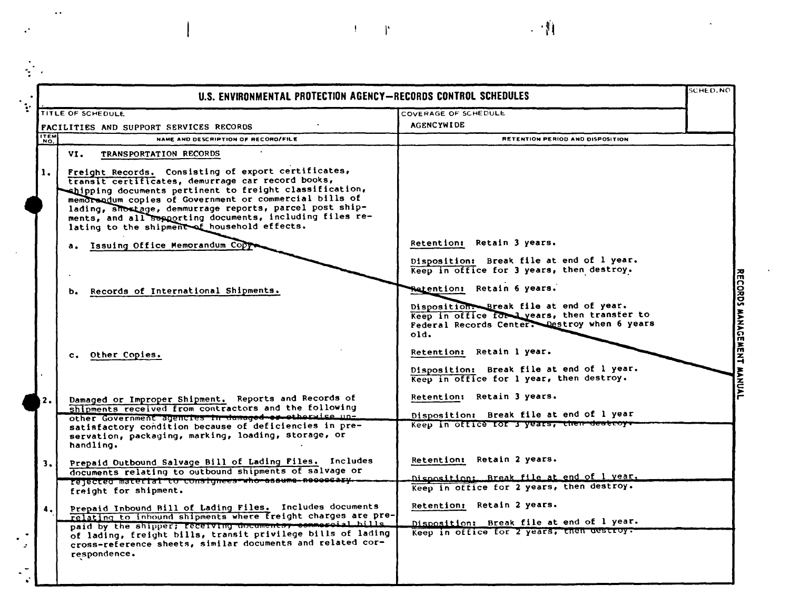|                | U.S. ENVIRONMENTAL PROTECTION AGENCY-RECORDS CONTROL SCHEDULES                                                                                                                                                                                                                                                                                                                                                                        |                                                                                                                                                                              | <b>SCHED.NO</b> |
|----------------|---------------------------------------------------------------------------------------------------------------------------------------------------------------------------------------------------------------------------------------------------------------------------------------------------------------------------------------------------------------------------------------------------------------------------------------|------------------------------------------------------------------------------------------------------------------------------------------------------------------------------|-----------------|
|                | TITLE OF SCHEDULE                                                                                                                                                                                                                                                                                                                                                                                                                     | <b>COVERAGE OF SCHEDULE</b>                                                                                                                                                  |                 |
|                | <b>FACILITIES AND SUPPORT SERVICES RECORDS</b>                                                                                                                                                                                                                                                                                                                                                                                        | <b>AGENCYWIDE</b>                                                                                                                                                            |                 |
| <b>ITEM</b>    | NAME AND DESCRIPTION OF RECORD/FILE                                                                                                                                                                                                                                                                                                                                                                                                   | RETENTION PERIOD AND DISPOSITION                                                                                                                                             |                 |
| $\mathbf{1}$ . | VI.<br>TRANSPORTATION RECORDS<br>Freight Records. Consisting of export certificates,<br>transit certificates, demurrage car record books,<br>chipping documents pertinent to freight classification,<br>memorandum copies of Government or commercial bills of<br>lading, shortage, demmurrage reports, parcel post ship-<br>ments, and all supporting documents, including files re-<br>lating to the shipment of household effects. |                                                                                                                                                                              |                 |
|                | Issuing Office Memorandum Copy                                                                                                                                                                                                                                                                                                                                                                                                        | Retention: Retain 3 years.<br>Disposition: Break file at end of 1 year.<br>Keep in office for 3 years, then destroy.                                                         |                 |
|                | Records of International Shipments.<br>ь.                                                                                                                                                                                                                                                                                                                                                                                             | Retention: Retain 6 years.<br>Disposition: Break file at end of year.<br>Keep in office for lyears, then transfer to<br>Federal Records Center. Destroy when 6 years<br>old. |                 |
|                | c. Other Copies.                                                                                                                                                                                                                                                                                                                                                                                                                      | Retention: Retain 1 year.<br>Disposition: Break file at end of 1 year.<br>Keep in office for 1 year, then destroy.                                                           |                 |
| 2.             | Damaged or Improper Shipment. Reports and Records of<br>shipments received from contractors and the following<br>other Government agencies in damaged or etherwise un=<br>satisfactory condition because of deficiencies in pre-<br>servation, packaging, marking, loading, storage, or                                                                                                                                               | Retention: Retain 3 years.<br>Disposition: Break file at end of 1 year<br>Keep in office for 3 years, then destroys                                                          |                 |
| з.             | handling.<br>Prepaid Outbound Salvage Bill of Lading Files. Includes<br>documents relating to outbound shipments of salvage or<br>rejected material to consignees who assume neecessy.                                                                                                                                                                                                                                                | Retention: Retain 2 years.<br>Disposition: Break file at end of 1 year.                                                                                                      |                 |
| 4.             | freight for shipment.<br>Prepaid Inbound Bill of Lading Files. Includes documents<br>relating to inbound shipments where freight charges are pre-<br>paid by the shipper; receiving documents, commorcial hills<br>of lading, freight bills, transit privilege bills of lading<br>cross-reference sheets, similar documents and related cor-<br>respondence.                                                                          | Keep in office for 2 years, then destroy.<br>Retention: Retain 2 years.<br>Disposition: Break file at end of 1 year.<br>Keep in office for 2 years, then destroy.            |                 |

 $\mathbf{P} = \mathbf{P} \left( \mathbf{P} \right) \mathbf{P} \left( \mathbf{P} \right) \mathbf{P} \left( \mathbf{P} \right) \mathbf{P} \left( \mathbf{P} \right) \mathbf{P} \left( \mathbf{P} \right) \mathbf{P} \left( \mathbf{P} \right) \mathbf{P} \left( \mathbf{P} \right) \mathbf{P} \left( \mathbf{P} \right) \mathbf{P} \left( \mathbf{P} \right) \mathbf{P} \left( \mathbf{P} \right) \mathbf{P} \left( \mathbf{P} \right) \mathbf{P} \left( \mathbf{P}$ 

 $\ddot{\cdot}$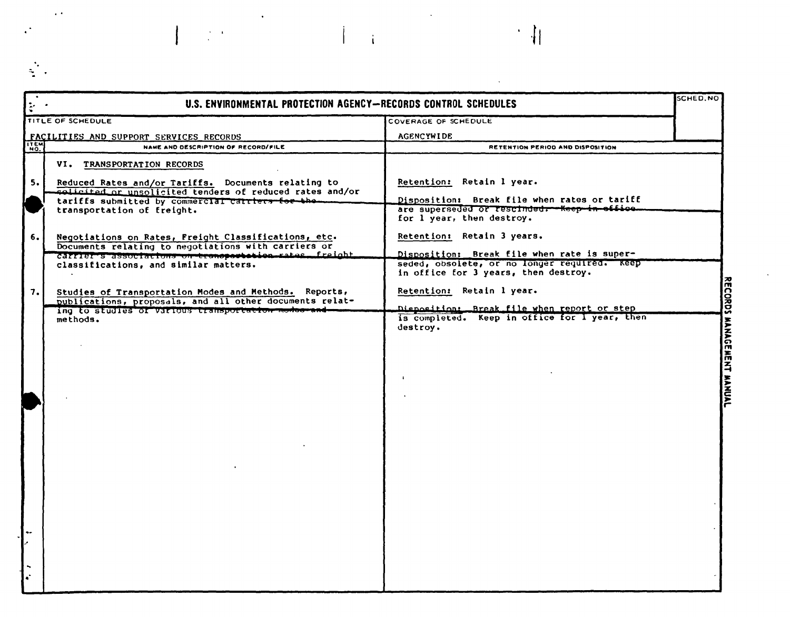| $\frac{1}{2}$ , $\frac{1}{2}$ | U.S. ENVIRONMENTAL PROTECTION AGENCY-RECORDS CONTROL SCHEDULES                                                |                                                                                               | SCHED.NO |
|-------------------------------|---------------------------------------------------------------------------------------------------------------|-----------------------------------------------------------------------------------------------|----------|
|                               | TITLE OF SCHEDULE                                                                                             | COVERAGE OF SCHEDULE                                                                          |          |
|                               | FACILITIES AND SUPPORT SERVICES RECORDS                                                                       | <b>AGENCYWIDE</b>                                                                             |          |
| ITEM                          | NAME AND DESCRIPTION OF RECORD/FILE                                                                           | RETENTION PERIOD AND DISPOSITION                                                              |          |
|                               | VI. TRANSPORTATION RECORDS                                                                                    |                                                                                               |          |
| 5.                            | Reduced Rates and/or Tariffs. Documents relating to                                                           | Retention: Retain 1 year.                                                                     |          |
|                               | solicited or unsolicited tenders of reduced rates and/or                                                      |                                                                                               |          |
|                               | tariffs submitted by commercial carriers for the                                                              | Disposition: Break file when rates or tariff<br>are superseded or rescinded. - Keep in office |          |
|                               | transportation of freight.                                                                                    | for 1 year, then destroy.                                                                     |          |
|                               |                                                                                                               |                                                                                               |          |
| 6.                            | Negotiations on Rates, Freight Classifications, etc.<br>Documents relating to negotiations with carriers or   | Retention: Retain 3 years.                                                                    |          |
|                               | carrier s associations on transportation rates. freight                                                       | Disposition: Break file when rate is super-                                                   |          |
|                               | classifications, and similar matters.                                                                         | seded, obsolete, or no longer required. Keep<br>in office for 3 years, then destroy.          |          |
|                               |                                                                                                               |                                                                                               |          |
| 7.                            | Studies of Transportation Modes and Methods. Reports,                                                         | Retention: Retain 1 year.                                                                     |          |
|                               | publications, proposals, and all other documents relat-<br>ing to studies of various transportation modes and | Disposition: Break file when report or step                                                   |          |
|                               | methods.                                                                                                      | is completed. Keep in office for I year, then                                                 |          |
|                               |                                                                                                               | destroy.                                                                                      |          |
|                               |                                                                                                               |                                                                                               |          |
|                               |                                                                                                               |                                                                                               |          |
|                               |                                                                                                               |                                                                                               |          |
|                               |                                                                                                               | $\ddot{\phantom{1}}$                                                                          |          |
|                               |                                                                                                               |                                                                                               |          |
|                               |                                                                                                               |                                                                                               |          |
|                               |                                                                                                               |                                                                                               |          |
|                               |                                                                                                               |                                                                                               |          |
|                               |                                                                                                               |                                                                                               |          |
|                               |                                                                                                               |                                                                                               |          |
|                               |                                                                                                               |                                                                                               |          |
|                               |                                                                                                               |                                                                                               |          |
|                               |                                                                                                               |                                                                                               |          |
|                               |                                                                                                               |                                                                                               |          |
|                               |                                                                                                               |                                                                                               |          |
|                               |                                                                                                               |                                                                                               |          |
|                               |                                                                                                               |                                                                                               |          |
|                               |                                                                                                               |                                                                                               |          |
|                               |                                                                                                               |                                                                                               |          |
|                               |                                                                                                               |                                                                                               |          |

 $\frac{1}{2} \frac{1}{2} \frac{1}{2} \frac{1}{2} \frac{1}{2} \frac{1}{2} \frac{1}{2} \frac{1}{2} \frac{1}{2} \frac{1}{2} \frac{1}{2} \frac{1}{2} \frac{1}{2} \frac{1}{2} \frac{1}{2} \frac{1}{2} \frac{1}{2} \frac{1}{2} \frac{1}{2} \frac{1}{2} \frac{1}{2} \frac{1}{2} \frac{1}{2} \frac{1}{2} \frac{1}{2} \frac{1}{2} \frac{1}{2} \frac{1}{2} \frac{1}{2} \frac{1}{2} \frac{1}{2} \frac{$ 

 $\label{eq:2} \frac{1}{\sqrt{2}}\sum_{i=1}^n\frac{1}{\sqrt{2}}\sum_{i=1}^n\frac{1}{\sqrt{2}}\sum_{i=1}^n\frac{1}{\sqrt{2}}\sum_{i=1}^n\frac{1}{\sqrt{2}}\sum_{i=1}^n\frac{1}{\sqrt{2}}\sum_{i=1}^n\frac{1}{\sqrt{2}}\sum_{i=1}^n\frac{1}{\sqrt{2}}\sum_{i=1}^n\frac{1}{\sqrt{2}}\sum_{i=1}^n\frac{1}{\sqrt{2}}\sum_{i=1}^n\frac{1}{\sqrt{2}}\sum_{i=1}^n\frac{1$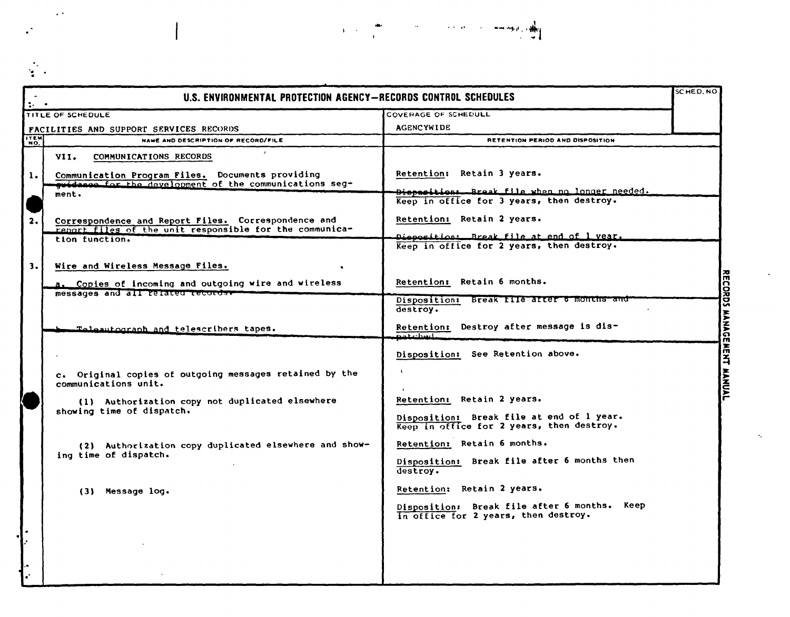$\epsilon$  .

te i

| $\frac{1}{2} \rho = \frac{1}{2}$ | U.S. ENVIRONMENTAL PROTECTION AGENCY-RECORDS CONTROL SCHEDULES                                                 |                                                                                                   | SCHED, NO     |
|----------------------------------|----------------------------------------------------------------------------------------------------------------|---------------------------------------------------------------------------------------------------|---------------|
|                                  | TITLE OF SCHEDULE                                                                                              | COVERAGE OF SCHEDULL                                                                              |               |
|                                  | FACILITIES AND SUPPORT SERVICES RECORDS                                                                        | <b>AGENCYWIDE</b>                                                                                 |               |
| <b>TEM</b>                       | NAME AND DESCRIPTION OF RECORD/FILE                                                                            | RETENTION PERIOD AND DISPOSITION                                                                  |               |
|                                  | VII.<br>COMMUNICATIONS RECORDS                                                                                 |                                                                                                   |               |
| $\mathbf{1}$ .                   | Communication Program Files. Documents providing<br>quidance for the development of the communications seg-    | Retention: Retain 3 years.                                                                        |               |
|                                  | ment.                                                                                                          | Dispesitions. Break file when no longer needed.<br>Keep in office for 3 years, then destroy.      |               |
| 2.                               | Correspondence and Report Files. Correspondence and<br>report files of the unit responsible for the communica- | Retention: Retain 2 years.                                                                        |               |
|                                  | tion function.                                                                                                 | <del>Dieposition: Break file at end of 1 year.</del><br>Keep in office for 2 years, then destroy. |               |
| 3.1                              | Wire and Wireless Message Files.                                                                               |                                                                                                   |               |
|                                  | a. Copies of incoming and outgoing wire and wireless<br>messages and all related records.                      | Retention: Retain 6 months.                                                                       |               |
|                                  |                                                                                                                | Disposition: Break file arter 6 months and<br>destroy.                                            | $\frac{1}{2}$ |
|                                  | Telesutograph and telescribers tapes.                                                                          | Retention: Destroy after message is dis-<br>natchad.                                              | <b>MANAU</b>  |
|                                  |                                                                                                                | Disposition: See Retention above.                                                                 | ř             |
|                                  | c. Original copies of outgoing messages retained by the<br>communications unit.                                |                                                                                                   | Š             |
|                                  | (1) Authorization copy not duplicated elsewhere<br>showing time of dispatch.                                   | Retention: Retain 2 years.                                                                        |               |
|                                  |                                                                                                                | Disposition: Break file at end of 1 year.<br>Keep in office for 2 years, then destroy.            |               |
|                                  | (2) Authorization copy duplicated elsewhere and show-<br>ing time of dispatch.                                 | Retention: Retain 6 months.                                                                       |               |
|                                  |                                                                                                                | Disposition: Break file after 6 months then<br>destroy.                                           |               |
|                                  | (3) Message log.                                                                                               | Retention: Retain 2 years.                                                                        |               |
|                                  |                                                                                                                | Disposition: Break file after 6 months. Keep<br>In office for 2 years, then destroy.              |               |
|                                  |                                                                                                                |                                                                                                   |               |
|                                  |                                                                                                                |                                                                                                   |               |
| ò.<br>÷.                         |                                                                                                                |                                                                                                   |               |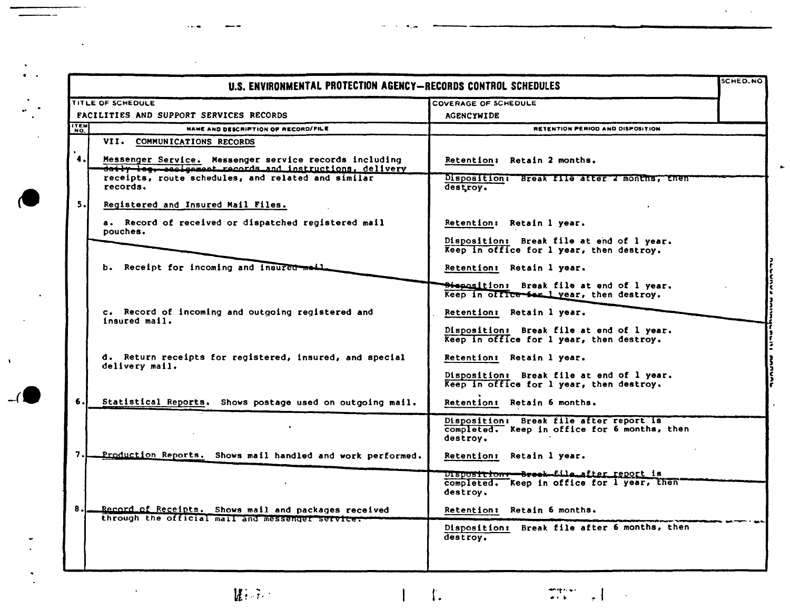|                    | U.S. ENVIRONMENTAL PROTECTION AGENCY-RECORDS CONTROL SCHEDULES                                                     |                                                                                                     | <b>SCHED.NO</b> |
|--------------------|--------------------------------------------------------------------------------------------------------------------|-----------------------------------------------------------------------------------------------------|-----------------|
|                    | TITLE OF SCHEDULE                                                                                                  | COVERAGE OF SCHEDULE                                                                                |                 |
|                    | <b>FACILITIES AND SUPPORT SERVICES RECORDS</b>                                                                     | <b>AGENCYWIDE</b>                                                                                   |                 |
| <b>TEM</b>         | NAME AND DESCRIPTION OF RECORD/FILE                                                                                | <b>RETENTION PERIOD AND DISPOSITION</b>                                                             |                 |
|                    | VII. COMMUNICATIONS RECORDS                                                                                        |                                                                                                     |                 |
| $\ddot{\bullet}$ . | Messenger Service. Messenger service records including<br>daily log, eacignment records and instructions, delivery | Retention: Retain 2 months.                                                                         |                 |
|                    | receipts, route schedules, and related and similar<br>records.                                                     | Disposition: Break file after 2 months, then<br>destroy.                                            |                 |
| 5.                 | Registered and Insured Mail Files.                                                                                 |                                                                                                     |                 |
|                    | a. Record of received or dispatched registered mail<br>pouches.                                                    | Retention: Retain 1 year.                                                                           |                 |
|                    |                                                                                                                    | Disposition: Break file at end of 1 year.<br>Keep in office for 1 year, then destroy.               |                 |
|                    | b. Receipt for incoming and insured meil                                                                           | Retention: Retain 1 year.                                                                           |                 |
|                    |                                                                                                                    | <b>Bispasition:</b> Break file at end of 1 year.<br>Keep in office for lyear, then destroy.         |                 |
|                    | c. Record of incoming and outgoing registered and<br>insured mail.                                                 | Retention: Retain 1 year.                                                                           |                 |
|                    |                                                                                                                    | Disposition: Break file at end of 1 year.<br>Keep in office for 1 year, then destroy.               |                 |
|                    | d. Return receipts for registered, insured, and special<br>delivery mail.                                          | Retention: Retain 1 year.                                                                           |                 |
|                    |                                                                                                                    | Disposition: Break file at end of 1 year.<br>Keep in office for 1 year, then destroy.               |                 |
| 6.                 | Statistical Reports. Shows postage used on outgoing mail.                                                          | Retention: Retain 6 months.                                                                         |                 |
|                    |                                                                                                                    | Disposition: Break file after report is<br>completed. Keep in office for 6 months, then<br>destrov. |                 |
| 7.                 | Production Reports. Shows mail handled and work performed.                                                         | Retention: Retain 1 year.                                                                           |                 |
|                    |                                                                                                                    | DISDOSTTIONT-Breek-file_after_report_is<br>completed. Keep in office for I year, then'<br>destroy.  |                 |
| 8.                 | Record of Receipts. Shows mail and packages received<br>through the official mail and messenger service.           | Retention: Retain 6 months.                                                                         |                 |
|                    |                                                                                                                    | Disposition: Break file after 6 months, then<br>destrov.                                            |                 |
|                    |                                                                                                                    |                                                                                                     |                 |

 $\mathbf{H}(\cdot|\mathbb{R})$ 

 $\bullet$ 

 $\Gamma$ 

 $\bar{\mathbf{A}}$ 

 $-$ 

r.

 $\mathbf{I}$ 

insertiering<br>Lorentiering  $\cdot$   $\overline{\phantom{a}}$ 

 $\sim$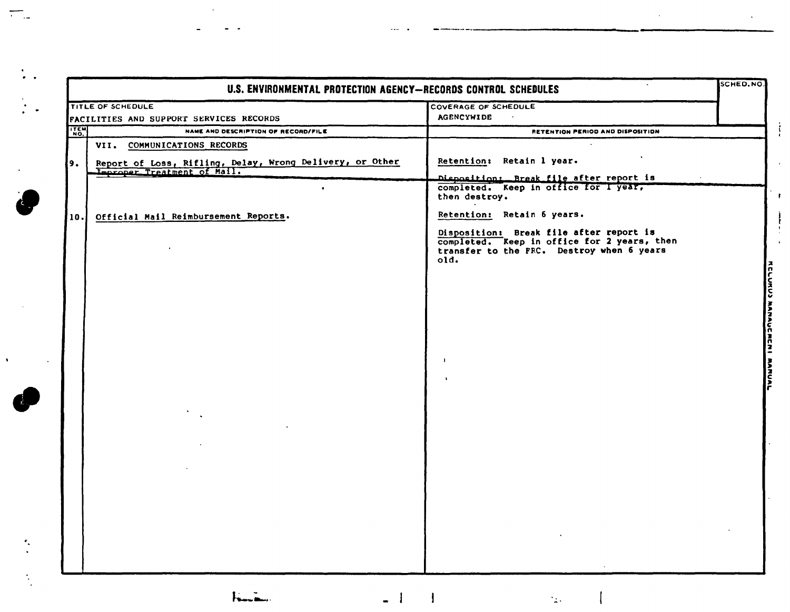| <b>AGENCYWIDE</b><br>$\sim 100$<br>FACILITIES AND SUPPORT SERVICES RECORDS<br><b>ITEM</b><br>NAME AND DESCRIPTION OF RECORD/FILE<br>RETENTION PERIOD AND DISPOSITION<br>VII. COMMUNICATIONS RECORDS<br>Retention: Retain 1 year.<br>Report of Loss, Rifling, Delay, Wrong Delivery, or Other<br>Improper Treatment of Mail.<br>Disposition: Break file after report is<br>completed. Keep in office for I year,<br>$\bullet$<br>then destroy.<br>Retention: Retain 6 years.<br>Official Mail Reimbursement Reports.<br>Disposition: Break file after report is<br>completed. Keep in office for 2 years, then<br>transfer to the FRC. Destroy when 6 years<br>old.<br>$\mathbf{I}$ |            | TITLE OF SCHEDULE | COVERAGE OF SCHEDULE |
|------------------------------------------------------------------------------------------------------------------------------------------------------------------------------------------------------------------------------------------------------------------------------------------------------------------------------------------------------------------------------------------------------------------------------------------------------------------------------------------------------------------------------------------------------------------------------------------------------------------------------------------------------------------------------------|------------|-------------------|----------------------|
|                                                                                                                                                                                                                                                                                                                                                                                                                                                                                                                                                                                                                                                                                    |            |                   |                      |
|                                                                                                                                                                                                                                                                                                                                                                                                                                                                                                                                                                                                                                                                                    |            |                   |                      |
|                                                                                                                                                                                                                                                                                                                                                                                                                                                                                                                                                                                                                                                                                    | 9.<br>10.1 |                   |                      |
|                                                                                                                                                                                                                                                                                                                                                                                                                                                                                                                                                                                                                                                                                    |            |                   |                      |

 $\cdots$  .

 $\mathcal{L}^{\mathcal{A}}$ 

 $\langle \cdot \rangle$ 

 $\dddot{\bullet}$ .

 $\frac{1}{2}$  .

 $\sim$ 

 $\triangle$ 

 $\frac{1}{2}$ 

 $\mathcal{L}_{\mathcal{L}}$ 

 $\hat{\mathbf{v}}$ 

 $\bar{\mathcal{A}}$ 

 $\overline{a}$ 

 $\overline{a}$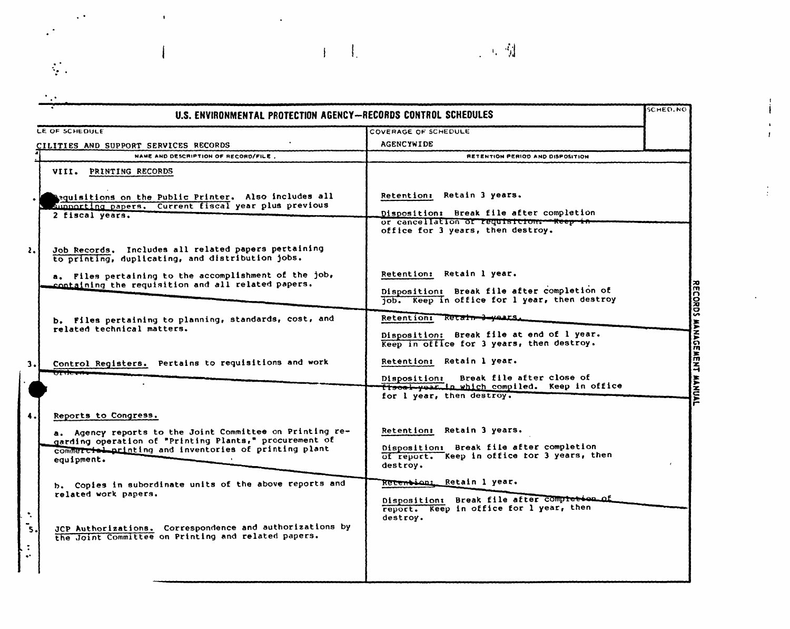## SCHED.NO U.S. ENVIRONMENTAL PROTECTION AGENCY-RECORDS CONTROL SCHEDULES LE OF SCHEDULE **COVERAGE OF SCHEDULE** AGENCYWIDE CILITIES AND SUPPORT SERVICES RECORDS NAME AND DESCRIPTION OF RECORD/FILE. **RETENTION PERIOD AND DISPOSITION** VIII. PRINTING RECORDS eguisitions on the Public Printer. Also includes all Retention: Retain 3 years. supporting papers. Current fiscal year plus previous Disposition: Break file after completion 2 fiscal years. or cancellation of requisition. - Keep in office for 3 years, then destroy. Retention: Retain 1 year.

 $\sim$   $\sim$   $\sim$ 

Job Records. Includes all related papers pertaining  $\mathbf{z}$ to printing, duplicating, and distribution jobs. a. Files pertaining to the accomplishment of the job, containing the requisition and all related papers. Disposition: Break file after completion of CORDS MANAGEMENT MANUAL job. Keep in office for 1 year, then destroy Retention: Retain-3-years b. Files pertaining to planning, standards, cost, and related technical matters. Disposition: Break file at end of 1 year. Keep in office for 3 years, then destroy. Retention: Retain 1 year. Control Registers. Pertains to requisitions and work  $\overline{\mathbf{3}}$ . Disposition: Break file after close of Trsoal-year in which compiled. Keep in office for 1 year, then destroy. Reports to Congress. a. Agency reports to the Joint Committee on Printing re-Retention: Retain 3 years. garding operation of "Printing Plants," procurement of Disposition: Break file after completion commercial printing and inventories of printing plant of report. Keep in office for 3 years, then equipment. destrov. Retention: Retain 1 year. b. Copies in subordinate units of the above reports and related work papers. Disposition: Break file after compression of report. Keep in office for 1 year, then  $\hat{\mathcal{L}}$ destroy. JCP Authorizations. Correspondence and authorizations by ັs the Joint Committee on Printing and related papers.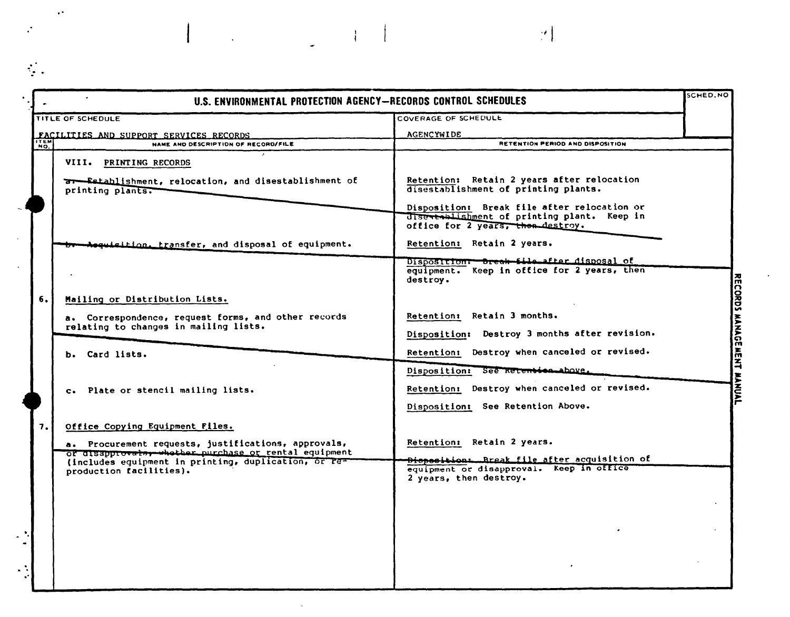| <b>AGENCYWIDE</b><br>FACILITIES AND SUPPORT SERVICES RECORDS<br>ITEM<br>NAME AND DESCRIPTION OF RECORD/FILE<br>RETENTION PERIOD AND DISPOSITION<br>VIII. PRINTING RECORDS<br>Retention: Retain 2 years after relocation<br><b>ar-Establishment, relocation, and disestablishment of</b><br>disestablishment of printing plants.<br>printing plants.<br>Disposition: Break file after relocation or<br>discatablishment of printing plant. Keep in<br>office for 2 years, then destroy.<br>Retention: Retain 2 years.<br>breed disposal of equipment.<br>Disposition: Dreak file after disposal of<br>equipment. Keep in office for 2 years, then<br>destroy.<br>Mailing or Distribution Lists.<br>Retention: Retain 3 months.<br>a. Correspondence, request forms, and other records<br>relating to changes in mailing lists.<br>Disposition: Destroy 3 months after revision.<br>Retention: Destroy when canceled or revised.<br>b. Card lists.<br>Disposition: See Retention above.<br>Retention: Destroy when canceled or revised.<br>c. Plate or stencil mailing lists.<br>Disposition: See Retention Above.<br>Office Copying Equipment Files.<br>Retention: Retain 2 years.<br>a. Procurement requests, justifications, approvals,<br>of disapprovate, whether purchase or rental equipment<br><del>Dioposition: Rreak file after</del> acquisition of<br>(includes equipment in printing, duplication, or re-<br>equipment or disapproval. Keep in office<br>production facilities). |    | TITLE OF SCHEDULE | COVERAGE OF SCHEDULE   |  |
|---------------------------------------------------------------------------------------------------------------------------------------------------------------------------------------------------------------------------------------------------------------------------------------------------------------------------------------------------------------------------------------------------------------------------------------------------------------------------------------------------------------------------------------------------------------------------------------------------------------------------------------------------------------------------------------------------------------------------------------------------------------------------------------------------------------------------------------------------------------------------------------------------------------------------------------------------------------------------------------------------------------------------------------------------------------------------------------------------------------------------------------------------------------------------------------------------------------------------------------------------------------------------------------------------------------------------------------------------------------------------------------------------------------------------------------------------------------------------------------------|----|-------------------|------------------------|--|
|                                                                                                                                                                                                                                                                                                                                                                                                                                                                                                                                                                                                                                                                                                                                                                                                                                                                                                                                                                                                                                                                                                                                                                                                                                                                                                                                                                                                                                                                                             |    |                   |                        |  |
|                                                                                                                                                                                                                                                                                                                                                                                                                                                                                                                                                                                                                                                                                                                                                                                                                                                                                                                                                                                                                                                                                                                                                                                                                                                                                                                                                                                                                                                                                             |    |                   |                        |  |
|                                                                                                                                                                                                                                                                                                                                                                                                                                                                                                                                                                                                                                                                                                                                                                                                                                                                                                                                                                                                                                                                                                                                                                                                                                                                                                                                                                                                                                                                                             |    |                   |                        |  |
|                                                                                                                                                                                                                                                                                                                                                                                                                                                                                                                                                                                                                                                                                                                                                                                                                                                                                                                                                                                                                                                                                                                                                                                                                                                                                                                                                                                                                                                                                             |    |                   |                        |  |
|                                                                                                                                                                                                                                                                                                                                                                                                                                                                                                                                                                                                                                                                                                                                                                                                                                                                                                                                                                                                                                                                                                                                                                                                                                                                                                                                                                                                                                                                                             |    |                   |                        |  |
|                                                                                                                                                                                                                                                                                                                                                                                                                                                                                                                                                                                                                                                                                                                                                                                                                                                                                                                                                                                                                                                                                                                                                                                                                                                                                                                                                                                                                                                                                             |    |                   |                        |  |
|                                                                                                                                                                                                                                                                                                                                                                                                                                                                                                                                                                                                                                                                                                                                                                                                                                                                                                                                                                                                                                                                                                                                                                                                                                                                                                                                                                                                                                                                                             |    |                   |                        |  |
|                                                                                                                                                                                                                                                                                                                                                                                                                                                                                                                                                                                                                                                                                                                                                                                                                                                                                                                                                                                                                                                                                                                                                                                                                                                                                                                                                                                                                                                                                             | 6. |                   |                        |  |
|                                                                                                                                                                                                                                                                                                                                                                                                                                                                                                                                                                                                                                                                                                                                                                                                                                                                                                                                                                                                                                                                                                                                                                                                                                                                                                                                                                                                                                                                                             |    |                   |                        |  |
|                                                                                                                                                                                                                                                                                                                                                                                                                                                                                                                                                                                                                                                                                                                                                                                                                                                                                                                                                                                                                                                                                                                                                                                                                                                                                                                                                                                                                                                                                             |    |                   |                        |  |
|                                                                                                                                                                                                                                                                                                                                                                                                                                                                                                                                                                                                                                                                                                                                                                                                                                                                                                                                                                                                                                                                                                                                                                                                                                                                                                                                                                                                                                                                                             |    |                   |                        |  |
|                                                                                                                                                                                                                                                                                                                                                                                                                                                                                                                                                                                                                                                                                                                                                                                                                                                                                                                                                                                                                                                                                                                                                                                                                                                                                                                                                                                                                                                                                             |    |                   |                        |  |
|                                                                                                                                                                                                                                                                                                                                                                                                                                                                                                                                                                                                                                                                                                                                                                                                                                                                                                                                                                                                                                                                                                                                                                                                                                                                                                                                                                                                                                                                                             |    |                   |                        |  |
|                                                                                                                                                                                                                                                                                                                                                                                                                                                                                                                                                                                                                                                                                                                                                                                                                                                                                                                                                                                                                                                                                                                                                                                                                                                                                                                                                                                                                                                                                             |    |                   |                        |  |
|                                                                                                                                                                                                                                                                                                                                                                                                                                                                                                                                                                                                                                                                                                                                                                                                                                                                                                                                                                                                                                                                                                                                                                                                                                                                                                                                                                                                                                                                                             | 7. |                   |                        |  |
|                                                                                                                                                                                                                                                                                                                                                                                                                                                                                                                                                                                                                                                                                                                                                                                                                                                                                                                                                                                                                                                                                                                                                                                                                                                                                                                                                                                                                                                                                             |    |                   |                        |  |
|                                                                                                                                                                                                                                                                                                                                                                                                                                                                                                                                                                                                                                                                                                                                                                                                                                                                                                                                                                                                                                                                                                                                                                                                                                                                                                                                                                                                                                                                                             |    |                   | 2 years, then destroy. |  |
|                                                                                                                                                                                                                                                                                                                                                                                                                                                                                                                                                                                                                                                                                                                                                                                                                                                                                                                                                                                                                                                                                                                                                                                                                                                                                                                                                                                                                                                                                             |    |                   |                        |  |
|                                                                                                                                                                                                                                                                                                                                                                                                                                                                                                                                                                                                                                                                                                                                                                                                                                                                                                                                                                                                                                                                                                                                                                                                                                                                                                                                                                                                                                                                                             |    |                   |                        |  |
|                                                                                                                                                                                                                                                                                                                                                                                                                                                                                                                                                                                                                                                                                                                                                                                                                                                                                                                                                                                                                                                                                                                                                                                                                                                                                                                                                                                                                                                                                             |    |                   |                        |  |
|                                                                                                                                                                                                                                                                                                                                                                                                                                                                                                                                                                                                                                                                                                                                                                                                                                                                                                                                                                                                                                                                                                                                                                                                                                                                                                                                                                                                                                                                                             |    |                   |                        |  |

 $\mathcal{L}(\mathcal{L}^{\text{max}}_{\mathcal{L}})$  ,  $\mathcal{L}^{\text{max}}_{\mathcal{L}}$ 

 $\langle \cdot \rangle$ 

 $\sim$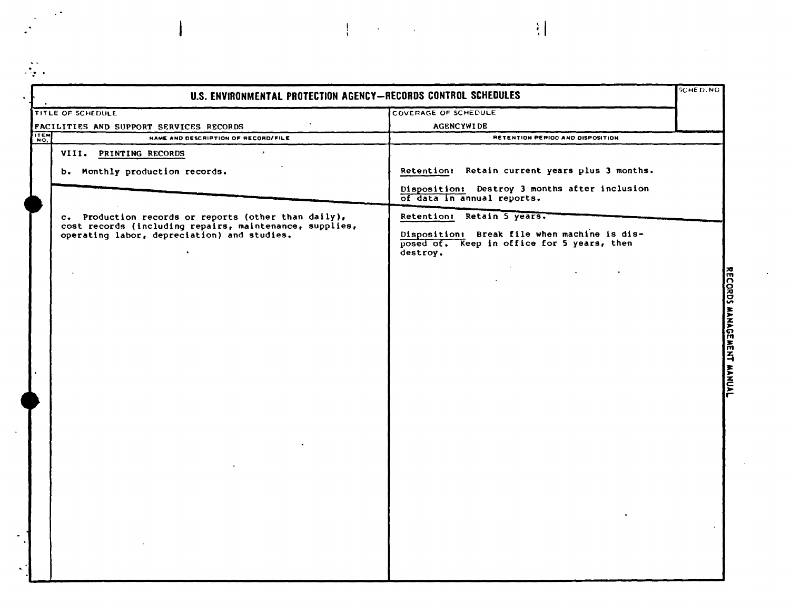| <b>TITLE OF SCHEDULE</b><br>COVERAGE OF SCHEDULE<br><b>AGENCYWIDE</b><br>NAME AND DESCRIPTION OF RECORD/FILE<br>VIII. PRINTING RECORDS<br>$\mathcal{E}^{\pm}$<br>b. Monthly production records.<br>of data in annual reports.<br>Retention: Retain 5 years.<br>c. Production records or reports (other than daily),<br>cost records (including repairs, maintenance, supplies,<br>operating labor, depreciation) and studies. | RETENTION PERIOD AND DISPOSITION                                                           |  |
|-------------------------------------------------------------------------------------------------------------------------------------------------------------------------------------------------------------------------------------------------------------------------------------------------------------------------------------------------------------------------------------------------------------------------------|--------------------------------------------------------------------------------------------|--|
| FACILITIES AND SUPPORT SERVICES RECORDS                                                                                                                                                                                                                                                                                                                                                                                       |                                                                                            |  |
| <b>ITEM</b>                                                                                                                                                                                                                                                                                                                                                                                                                   |                                                                                            |  |
|                                                                                                                                                                                                                                                                                                                                                                                                                               |                                                                                            |  |
|                                                                                                                                                                                                                                                                                                                                                                                                                               |                                                                                            |  |
|                                                                                                                                                                                                                                                                                                                                                                                                                               | Retention: Retain current years plus 3 months.                                             |  |
|                                                                                                                                                                                                                                                                                                                                                                                                                               | Disposition: Destroy 3 months after inclusion                                              |  |
|                                                                                                                                                                                                                                                                                                                                                                                                                               |                                                                                            |  |
| destroy.                                                                                                                                                                                                                                                                                                                                                                                                                      | Disposition: Break file when machine is dis-<br>posed of. Keep in office for 5 years, then |  |
|                                                                                                                                                                                                                                                                                                                                                                                                                               |                                                                                            |  |
|                                                                                                                                                                                                                                                                                                                                                                                                                               |                                                                                            |  |
|                                                                                                                                                                                                                                                                                                                                                                                                                               |                                                                                            |  |
|                                                                                                                                                                                                                                                                                                                                                                                                                               |                                                                                            |  |
|                                                                                                                                                                                                                                                                                                                                                                                                                               |                                                                                            |  |
|                                                                                                                                                                                                                                                                                                                                                                                                                               |                                                                                            |  |
|                                                                                                                                                                                                                                                                                                                                                                                                                               |                                                                                            |  |
|                                                                                                                                                                                                                                                                                                                                                                                                                               |                                                                                            |  |
|                                                                                                                                                                                                                                                                                                                                                                                                                               |                                                                                            |  |
|                                                                                                                                                                                                                                                                                                                                                                                                                               |                                                                                            |  |
|                                                                                                                                                                                                                                                                                                                                                                                                                               |                                                                                            |  |
|                                                                                                                                                                                                                                                                                                                                                                                                                               |                                                                                            |  |
|                                                                                                                                                                                                                                                                                                                                                                                                                               |                                                                                            |  |
|                                                                                                                                                                                                                                                                                                                                                                                                                               |                                                                                            |  |
|                                                                                                                                                                                                                                                                                                                                                                                                                               |                                                                                            |  |
|                                                                                                                                                                                                                                                                                                                                                                                                                               |                                                                                            |  |
|                                                                                                                                                                                                                                                                                                                                                                                                                               |                                                                                            |  |

 $\label{eq:2.1} \frac{1}{\sqrt{2}}\int_{\mathbb{R}^3} \left|\frac{d\mu}{d\mu}\right|^2 \, d\mu = \frac{1}{2}\int_{\mathbb{R}^3} \left|\frac{d\mu}{d\mu}\right|^2 \, d\mu = \frac{1}{2}\int_{\mathbb{R}^3} \left|\frac{d\mu}{d\mu}\right|^2 \, d\mu = \frac{1}{2}\int_{\mathbb{R}^3} \left|\frac{d\mu}{d\mu}\right|^2 \, d\mu = \frac{1}{2}\int_{\mathbb{R}^3} \left|\frac{d\mu}{d\mu}\right|^2 \, d\mu = \frac{1}{2}\$ 

 $\mathbf i$ 

 $\mathbb{Z}$  .

 $\mathcal{L}^{\text{max}}_{\text{max}}$  ,  $\mathcal{L}^{\text{max}}_{\text{max}}$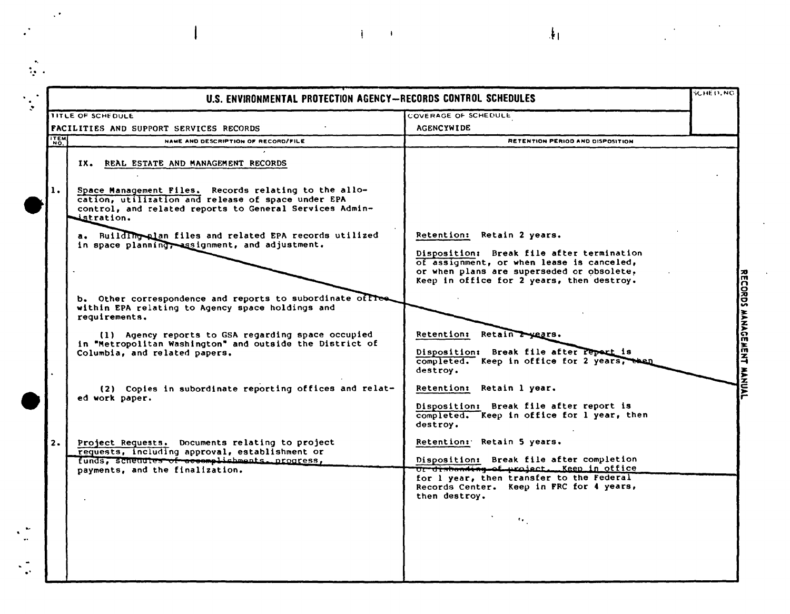|            | U.S. ENVIRONMENTAL PROTECTION AGENCY-RECORDS CONTROL SCHEDULES                                                                                                                                                   |                                                                                                                                                                                                                             | <b>SCHED, NG</b> |
|------------|------------------------------------------------------------------------------------------------------------------------------------------------------------------------------------------------------------------|-----------------------------------------------------------------------------------------------------------------------------------------------------------------------------------------------------------------------------|------------------|
|            | TITLE OF SCHEDULE                                                                                                                                                                                                | COVERAGE OF SCHEDULE                                                                                                                                                                                                        |                  |
|            | <b>FACILITIES AND SUPPORT SERVICES RECORDS</b>                                                                                                                                                                   | <b>AGENCYWIDE</b>                                                                                                                                                                                                           |                  |
| <b>TEM</b> | NAME AND DESCRIPTION OF RECORD/FILE                                                                                                                                                                              | <b>RETENTION PERIOD AND DISPOSITION</b>                                                                                                                                                                                     |                  |
| 1.         | IX. REAL ESTATE AND MANAGEMENT RECORDS<br>Space Management Files. Records relating to the allo-<br>cation, utilization and release of space under EPA<br>control, and related reports to General Services Admin- |                                                                                                                                                                                                                             |                  |
|            | istration.<br>a. Building plan files and related EPA records utilized<br>in space planning, assignment, and adjustment.                                                                                          | Retention: Retain 2 years.<br>Disposition: Break file after termination<br>of assignment, or when lease is canceled,<br>or when plans are superseded or obsolete,<br>Keep in office for 2 years, then destroy.              |                  |
|            | b. Other correspondence and reports to subordinate offle<br>within EPA relating to Agency space holdings and<br>requirements.                                                                                    |                                                                                                                                                                                                                             |                  |
|            | (1) Agency reports to GSA regarding space occupied<br>in "Metropolitan Washington" and outside the District of<br>Columbia, and related papers.                                                                  | Retention: Retain Twears.<br>Disposition: Break file after report is<br>completed. Keep in office for 2 years,<br>destroy.                                                                                                  |                  |
|            | (2) Copies in subordinate reporting offices and relat-<br>ed work paper.                                                                                                                                         | Retention: Retain 1 year.<br>Disposition: Break file after report is<br>completed. Keep in office for 1 year, then<br>destroy.                                                                                              |                  |
| 2.         | Project Requests. Documents relating to project<br>requests, including approval, establishment or<br>funds, schenules of accemplishments. progress,<br>payments, and the finalization.                           | Retention: Retain 5 years.<br>Disposition: Break file after completion<br>Or disbanding of project. Keep in office<br>for 1 year, then transfer to the Federal<br>Records Center. Keep in FRC for 4 years,<br>then destroy. |                  |
|            |                                                                                                                                                                                                                  | $\mathbf{r}_\mathrm{in}$                                                                                                                                                                                                    |                  |

 $\label{eq:2.1} \mathcal{A}(\mathcal{A})=\mathcal{A}(\mathcal{A})=\mathcal{A}(\mathcal{A})=\mathcal{A}(\mathcal{A})=\mathcal{A}(\mathcal{A})=\mathcal{A}(\mathcal{A})$ 

 $\frac{1}{2} \sum_{i=1}^{n} \frac{1}{i} \sum_{j=1}^{n} \frac{1}{j} \sum_{j=1}^{n} \frac{1}{j} \sum_{j=1}^{n} \frac{1}{j} \sum_{j=1}^{n} \frac{1}{j} \sum_{j=1}^{n} \frac{1}{j} \sum_{j=1}^{n} \frac{1}{j} \sum_{j=1}^{n} \frac{1}{j} \sum_{j=1}^{n} \frac{1}{j} \sum_{j=1}^{n} \frac{1}{j} \sum_{j=1}^{n} \frac{1}{j} \sum_{j=1}^{n} \frac{1}{j} \sum_{j=1}^{n$ 

 $\label{eq:2.1} \frac{1}{2}\sum_{i=1}^n\frac{1}{2}\left(\frac{1}{2}\sum_{i=1}^n\frac{1}{2}\right)^2.$ 

 $\ddot{\phantom{1}}$ 

 $\cdot$ 

 $\begin{array}{c} \rule{0pt}{2ex} \rule{0pt}{2ex} \rule{0pt}{2ex} \rule{0pt}{2ex} \rule{0pt}{2ex} \rule{0pt}{2ex} \rule{0pt}{2ex} \rule{0pt}{2ex} \rule{0pt}{2ex} \rule{0pt}{2ex} \rule{0pt}{2ex} \rule{0pt}{2ex} \rule{0pt}{2ex} \rule{0pt}{2ex} \rule{0pt}{2ex} \rule{0pt}{2ex} \rule{0pt}{2ex} \rule{0pt}{2ex} \rule{0pt}{2ex} \rule{0pt}{2ex} \rule{0pt}{2ex} \rule{0pt}{2ex} \rule{0pt}{2ex} \rule{0pt}{$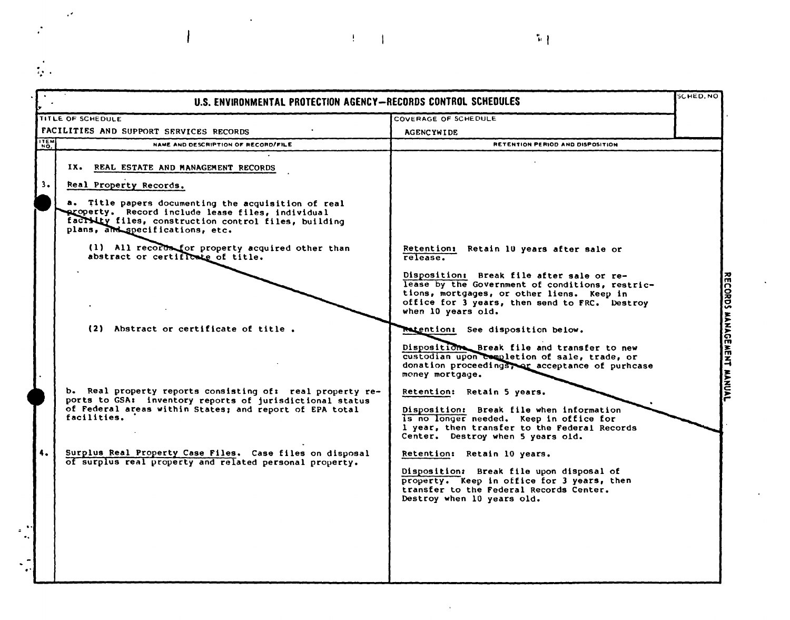| TITLE OF SCHEDULE<br>COVERAGE OF SCHEDULE<br>FACILITIES AND SUPPORT SERVICES RECORDS<br><b>AGENCYWIDE</b><br>NAME AND DESCRIPTION OF RECORD/FILE<br>RETENTION PERIOD AND DISPOSITION<br>IX. REAL ESTATE AND MANAGEMENT RECORDS<br>3.<br>Real Property Records.<br>a. Title papers documenting the acquisition of real<br>property. Record include lease files, individual<br>factivity files, construction control files, building<br>plans, and specifications, etc.<br>(1) All records for property acquired other than<br>Retention: Retain 10 years after sale or<br>abstract or certificate of title.<br>release.<br>Disposition: Break file after sale or re-<br>lease by the Government of conditions, restric-<br>tions, mortgages, or other liens. Keep in<br>office for 3 years, then send to FRC. Destroy<br>when 10 years old.<br>(2) Abstract or certificate of title.<br><b>Retention:</b> See disposition below.<br>Disposition Break file and transfer to new<br>custodian upon completion of sale, trade, or<br>donation proceedings, or acceptance of purhcase<br>money mortgage.<br>b. Real property reports consisting of: real property re-<br>Retention: Retain 5 years.<br>ports to GSA: inventory reports of jurisdictional status<br>of Federal areas within States; and report of EPA total<br>Disposition: Break file when information<br>facilities.<br>is no longer needed. Keep in office for<br>1 year, then transfer to the Federal Records<br>Center. Destroy when 5 years old.<br>4.<br>Surplus Real Property Case Files. Case files on disposal<br>Retention: Retain 10 years.<br>of surplus real property and related personal property.<br>Disposition: Break file upon disposal of<br>property. Keep in office for 3 years, then<br>transfer to the Federal Records Center. | U.S. ENVIRONMENTAL PROTECTION AGENCY-RECORDS CONTROL SCHEDULES |                            | <b>SCHED.NO</b> |
|-------------------------------------------------------------------------------------------------------------------------------------------------------------------------------------------------------------------------------------------------------------------------------------------------------------------------------------------------------------------------------------------------------------------------------------------------------------------------------------------------------------------------------------------------------------------------------------------------------------------------------------------------------------------------------------------------------------------------------------------------------------------------------------------------------------------------------------------------------------------------------------------------------------------------------------------------------------------------------------------------------------------------------------------------------------------------------------------------------------------------------------------------------------------------------------------------------------------------------------------------------------------------------------------------------------------------------------------------------------------------------------------------------------------------------------------------------------------------------------------------------------------------------------------------------------------------------------------------------------------------------------------------------------------------------------------------------------------------------------------------------------------------------------------------------------------|----------------------------------------------------------------|----------------------------|-----------------|
| <b>ITEM</b>                                                                                                                                                                                                                                                                                                                                                                                                                                                                                                                                                                                                                                                                                                                                                                                                                                                                                                                                                                                                                                                                                                                                                                                                                                                                                                                                                                                                                                                                                                                                                                                                                                                                                                                                                                                                       |                                                                |                            |                 |
|                                                                                                                                                                                                                                                                                                                                                                                                                                                                                                                                                                                                                                                                                                                                                                                                                                                                                                                                                                                                                                                                                                                                                                                                                                                                                                                                                                                                                                                                                                                                                                                                                                                                                                                                                                                                                   |                                                                |                            |                 |
|                                                                                                                                                                                                                                                                                                                                                                                                                                                                                                                                                                                                                                                                                                                                                                                                                                                                                                                                                                                                                                                                                                                                                                                                                                                                                                                                                                                                                                                                                                                                                                                                                                                                                                                                                                                                                   |                                                                |                            |                 |
|                                                                                                                                                                                                                                                                                                                                                                                                                                                                                                                                                                                                                                                                                                                                                                                                                                                                                                                                                                                                                                                                                                                                                                                                                                                                                                                                                                                                                                                                                                                                                                                                                                                                                                                                                                                                                   |                                                                |                            |                 |
|                                                                                                                                                                                                                                                                                                                                                                                                                                                                                                                                                                                                                                                                                                                                                                                                                                                                                                                                                                                                                                                                                                                                                                                                                                                                                                                                                                                                                                                                                                                                                                                                                                                                                                                                                                                                                   |                                                                | Destroy when 10 years old. |                 |

 $\left\vert \begin{array}{c} \mathbf{u} \\ \mathbf{u} \end{array} \right\vert$ 

 $\label{eq:2.1} \frac{1}{2} \sum_{i=1}^n \frac{1}{2} \left( \frac{1}{2} \sum_{i=1}^n \frac{1}{2} \sum_{j=1}^n \frac{1}{2} \right)^2.$ 

 $\mathbf{I}$ 

 $\sim$   $\mathcal{O}$ 

 $\mathcal{L}_{\mathcal{A}}$ 

 $\frac{1}{2}$  .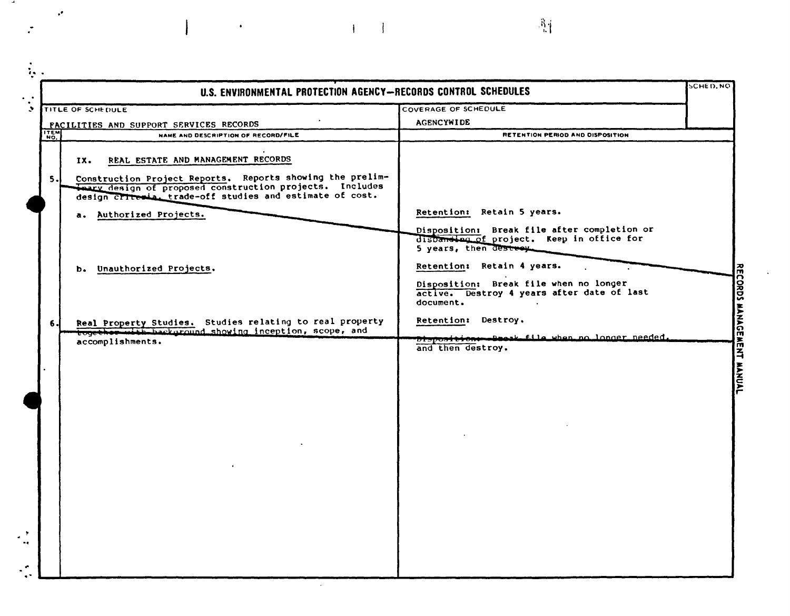|                                         | U.S. ENVIRONMENTAL PROTECTION AGENCY-RECORDS CONTROL SCHEDULES                                                                                                                                                                 |                                                                                                                                                                                                                                                      | <b>SCHED.NO</b> |
|-----------------------------------------|--------------------------------------------------------------------------------------------------------------------------------------------------------------------------------------------------------------------------------|------------------------------------------------------------------------------------------------------------------------------------------------------------------------------------------------------------------------------------------------------|-----------------|
| TITLE OF SCHEDULE                       |                                                                                                                                                                                                                                | COVERAGE OF SCHEDULE                                                                                                                                                                                                                                 |                 |
| FACILITIES AND SUPPORT SERVICES RECORDS |                                                                                                                                                                                                                                | <b>AGENCYWIDE</b>                                                                                                                                                                                                                                    |                 |
| ITEM                                    | NAME AND DESCRIPTION OF RECORD/FILE                                                                                                                                                                                            | RETENTION PERIOD AND DISPOSITION                                                                                                                                                                                                                     |                 |
| 5.1                                     | REAL ESTATE AND MANAGEMENT RECORDS<br>IX.<br>Construction Project Reports. Reports showing the prelim-<br>thary design of proposed construction projects. Includes<br>design criteria. trade-off studies and estimate of cost. |                                                                                                                                                                                                                                                      |                 |
|                                         | a. Authorized Projects.                                                                                                                                                                                                        | Retention: Retain 5 years.                                                                                                                                                                                                                           |                 |
|                                         | b. Unauthorized Projects.                                                                                                                                                                                                      | Disposition: Break file after completion or<br>disbanding of project. Keep in office for<br>5 years, then destroy<br>Retention: Retain 4 years.<br>Disposition: Break file when no longer<br>active. Destroy 4 years after date of last<br>document. |                 |
| 6.                                      | Real Property Studies. Studies relating to real property                                                                                                                                                                       | Retention: Destroy.                                                                                                                                                                                                                                  |                 |
|                                         | together with background showing inception, scope, and<br>accomplishments.                                                                                                                                                     | Disposition -- Decak file when no longer needed.                                                                                                                                                                                                     |                 |
|                                         |                                                                                                                                                                                                                                | and then destroy.                                                                                                                                                                                                                                    |                 |
|                                         |                                                                                                                                                                                                                                |                                                                                                                                                                                                                                                      |                 |

 $\mathbb{R}^3_+$ 

 $\label{eq:3.1} \frac{1}{\sqrt{2}}\left(\frac{1}{\sqrt{2}}\right)^{2}+\frac{1}{\sqrt{2}}\left(\frac{1}{\sqrt{2}}\right)^{2}+\frac{1}{\sqrt{2}}\left(\frac{1}{\sqrt{2}}\right)^{2}+\frac{1}{\sqrt{2}}\left(\frac{1}{\sqrt{2}}\right)^{2}+\frac{1}{\sqrt{2}}\left(\frac{1}{\sqrt{2}}\right)^{2}+\frac{1}{\sqrt{2}}\left(\frac{1}{\sqrt{2}}\right)^{2}+\frac{1}{\sqrt{2}}\left(\frac{1}{\sqrt{2}}\right)^{2}+\frac{1}{\sqrt{2}}\left(\frac{$ 

 $\overline{a}$ 

 $\mathcal{L}(\mathcal{L})$ 

 $\mathcal{L}^{\bullet}$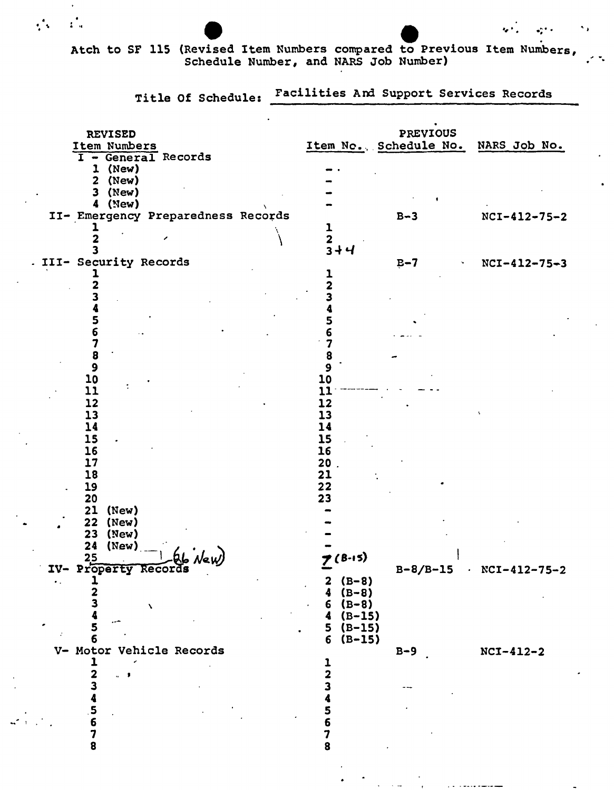## Atch to SF 115 (Revised Item Numbers compared to Previous Item Numbers,<br>Schedule Number, and NARS Job Number)

 $\mathcal{L}_\mathrm{m}^\bullet$ 

 $\mathcal{L}_{\mathcal{M}}$ 

Title Of Schedule: Facilities And Support Services Records

 $\ddot{\mathbf{r}}$ 

٠,

|        | <b>REVISED</b><br>Item Numbers<br>I - General Records<br>$1$ (New)<br>$2$ (New)              |                                                                                                         | <b>PREVIOUS</b><br>Item No., Schedule No. NARS Job No. |                           |
|--------|----------------------------------------------------------------------------------------------|---------------------------------------------------------------------------------------------------------|--------------------------------------------------------|---------------------------|
|        | $3$ (New)<br>$4$ (New)<br>II- Emergency Preparedness Records                                 | ı<br>2<br>$3 + 4$                                                                                       | $B-3$                                                  | $NCI-412-75-2$            |
|        | III- Security Records<br>5<br>6                                                              |                                                                                                         | $B-7$                                                  | $NCI-412-75-3$            |
|        | 7<br>8<br>$\boldsymbol{9}$<br>10<br>11<br>12                                                 | 8<br>10<br>11<br>12                                                                                     |                                                        |                           |
|        | 13<br>14<br>15<br>16<br>17<br>18                                                             | 13<br>14<br>15<br>16<br>$20$ .<br>21<br>22                                                              |                                                        |                           |
|        | 19<br>20<br>(New)<br>21<br>(New)<br>22<br>23<br>(New)<br>24<br>(New)<br>IV- Property Records | 23                                                                                                      |                                                        |                           |
| $\sim$ | $\mathbf{z}$<br>з<br>$\lambda$<br>حب<br>5<br>6                                               | $(B-8)$<br>$\mathbf{z}$<br>$(B-8)$<br>4<br>$6 (B-8)$<br>$(B-15)$<br>4<br>$(B-15)$<br>5<br>$(B-15)$<br>6 |                                                        | $B-8/B-15$ . NCI-412-75-2 |
|        | V- Motor Vehicle Records<br>2<br>$\alpha=0$<br>з<br>4567                                     | $\overline{\mathbf{c}}$<br>5                                                                            | $B-9$                                                  | $NCI-412-2$               |
|        | 8                                                                                            | 7<br>8                                                                                                  |                                                        |                           |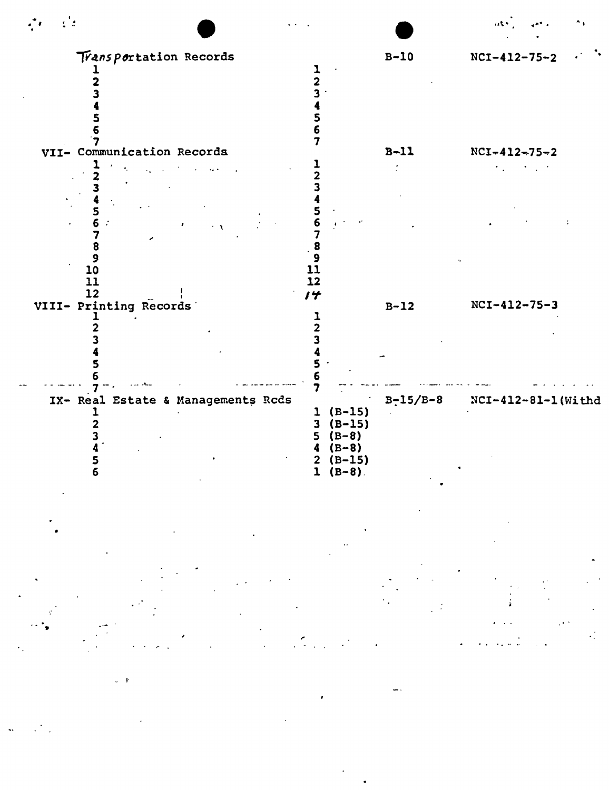